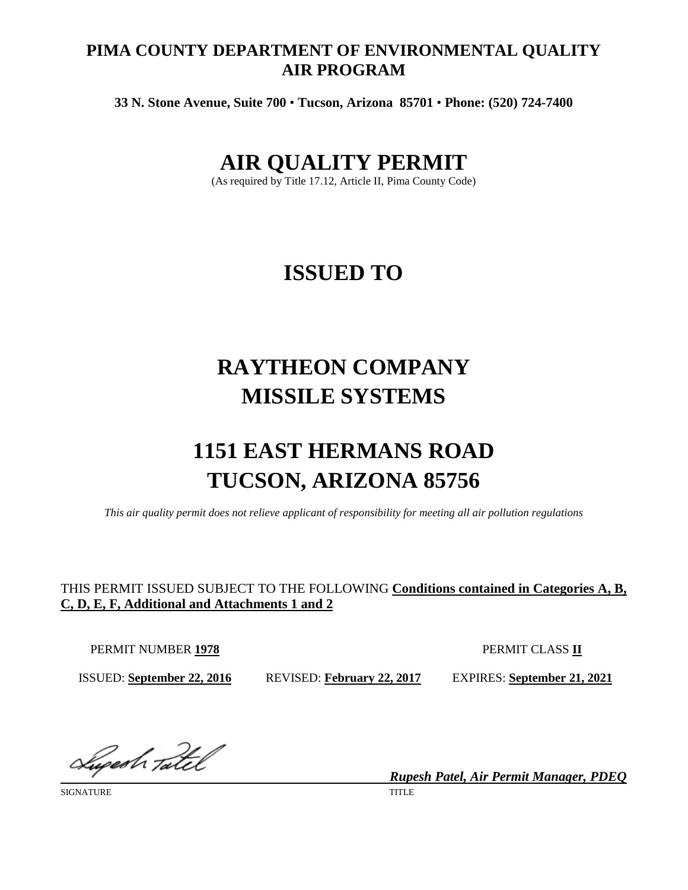### **PIMA COUNTY DEPARTMENT OF ENVIRONMENTAL QUALITY AIR PROGRAM**

**33 N. Stone Avenue, Suite 700** • **Tucson, Arizona 85701** • **Phone: (520) 724-7400**

## **AIR QUALITY PERMIT**

(As required by Title 17.12, Article II, Pima County Code)

# **ISSUED TO**

# **RAYTHEON COMPANY MISSILE SYSTEMS**

# **1151 EAST HERMANS ROAD TUCSON, ARIZONA 85756**

*This air quality permit does not relieve applicant of responsibility for meeting all air pollution regulations*

### THIS PERMIT ISSUED SUBJECT TO THE FOLLOWING **Conditions contained in Categories A, B, C, D, E, F, Additional and Attachments 1 and 2**

PERMIT NUMBER **1978** PERMIT CLASS **II**

ISSUED: **September 22, 2016** REVISED: **February 22, 2017** EXPIRES: **September 21, 2021**

Sugestr Tatel

SIGNATURE TITLE THE SERVICE OF THE SERVICE OF THE SERVICE OF THE SERVICE OF THE SERVICE OF THE SERVICE OF THE SERVICE OF THE SERVICE OF THE SERVICE OF THE SERVICE OF THE SERVICE OF THE SERVICE OF THE SERVICE OF THE SERVICE

*Rupesh Patel, Air Permit Manager, PDEQ*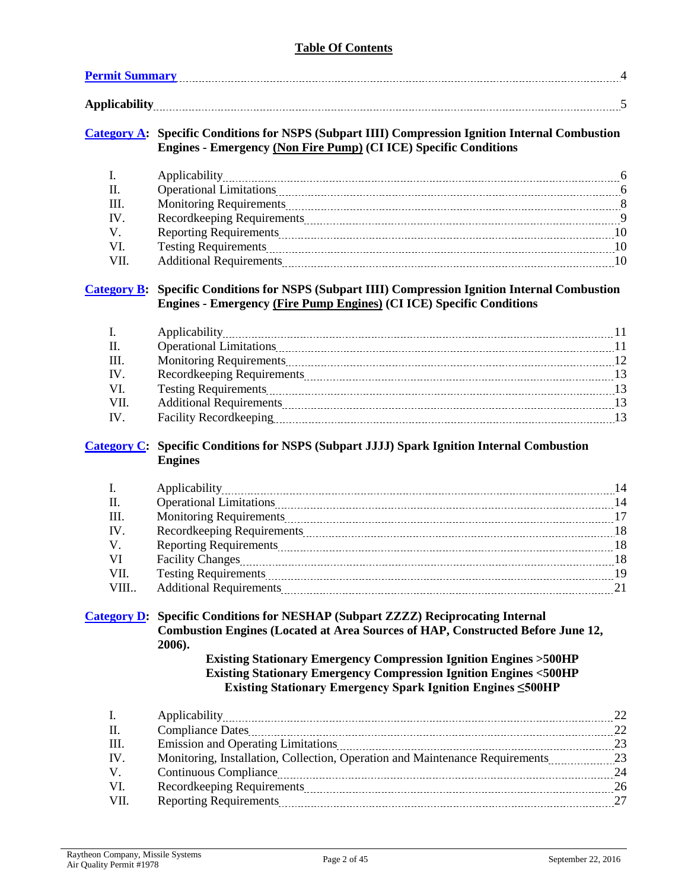#### **Table Of Contents**

| <b>Permit Summary</b> |                                                                                                                                                                             |  |
|-----------------------|-----------------------------------------------------------------------------------------------------------------------------------------------------------------------------|--|
|                       |                                                                                                                                                                             |  |
|                       | Category A: Specific Conditions for NSPS (Subpart IIII) Compression Ignition Internal Combustion<br><b>Engines - Emergency (Non Fire Pump) (CI ICE) Specific Conditions</b> |  |
|                       | Applicability                                                                                                                                                               |  |

|      | Applicability                                                                                                                                                                                                                  |    |
|------|--------------------------------------------------------------------------------------------------------------------------------------------------------------------------------------------------------------------------------|----|
|      | <b>Operational Limitations</b>                                                                                                                                                                                                 |    |
| Ш    | Monitoring Requirements [100] Monitoring Requirements [100] Monitoring Requirements [100] Monitoring Requirements [100] Monitoring Requirements [100] Monitoring Requirements [100] Monitoring Requirements [100] Monitoring R |    |
| IV   | Recordkeeping Requirements                                                                                                                                                                                                     |    |
|      | Reporting Requirements <b>Manual Accord Properties</b> Reporting Requirements <b>Manual Accord Properties</b>                                                                                                                  |    |
|      | <b>Testing Requirements</b>                                                                                                                                                                                                    | 10 |
| VII. | <b>Additional Requirements</b>                                                                                                                                                                                                 | 10 |

#### **[Category B:](#page-10-0) Specific Conditions for NSPS (Subpart IIII) Compression Ignition Internal Combustion Engines - Emergency (Fire Pump Engines) (CI ICE) Specific Conditions**

|      | <b>Operational Limitations</b> |                 |
|------|--------------------------------|-----------------|
| HI.  |                                | 12 <sup>2</sup> |
| IV   |                                | 13              |
| VI.  |                                | 13              |
| VII. | <b>Additional Requirements</b> | 13              |
| IV   | <b>Facility Recordkeeping</b>  | 13              |

#### **[Category C:](#page-13-0) Specific Conditions for NSPS (Subpart JJJJ) Spark Ignition Internal Combustion Engines**

|      |                                                                                                                                                                                                                                | -14  |
|------|--------------------------------------------------------------------------------------------------------------------------------------------------------------------------------------------------------------------------------|------|
| Ш.   | <b>Operational Limitations</b>                                                                                                                                                                                                 | 14   |
| III. | Monitoring Requirements 27 and 27 and 27 and 27 and 27 and 27 and 27 and 27 and 27 and 27 and 27 and 27 and 27 and 27 and 27 and 27 and 27 and 27 and 27 and 27 and 27 and 27 and 27 and 27 and 27 and 27 and 27 and 27 and 27 |      |
| IV.  |                                                                                                                                                                                                                                | -18  |
| V.   |                                                                                                                                                                                                                                | - 18 |
| VI   |                                                                                                                                                                                                                                | -18  |
| VII. |                                                                                                                                                                                                                                | - 19 |
| VIII |                                                                                                                                                                                                                                | 21   |
|      |                                                                                                                                                                                                                                |      |

#### **[Category D:](#page-21-0) Specific Conditions for NESHAP (Subpart ZZZZ) Reciprocating Internal Combustion Engines (Located at Area Sources of HAP, Constructed Before June 12, 2006).**

#### **Existing Stationary Emergency Compression Ignition Engines >500HP Existing Stationary Emergency Compression Ignition Engines <500HP Existing Stationary Emergency Spark Ignition Engines ≤500HP**

| - I.        |                                                                                 |    |
|-------------|---------------------------------------------------------------------------------|----|
| Ш.          |                                                                                 | 22 |
| - III.      |                                                                                 | 23 |
| IV.         | Monitoring, Installation, Collection, Operation and Maintenance Requirements 23 |    |
| $V_{\cdot}$ |                                                                                 | 24 |
| - VI.       |                                                                                 | 26 |
| VII.        | <b>Reporting Requirements</b>                                                   | 27 |
|             |                                                                                 |    |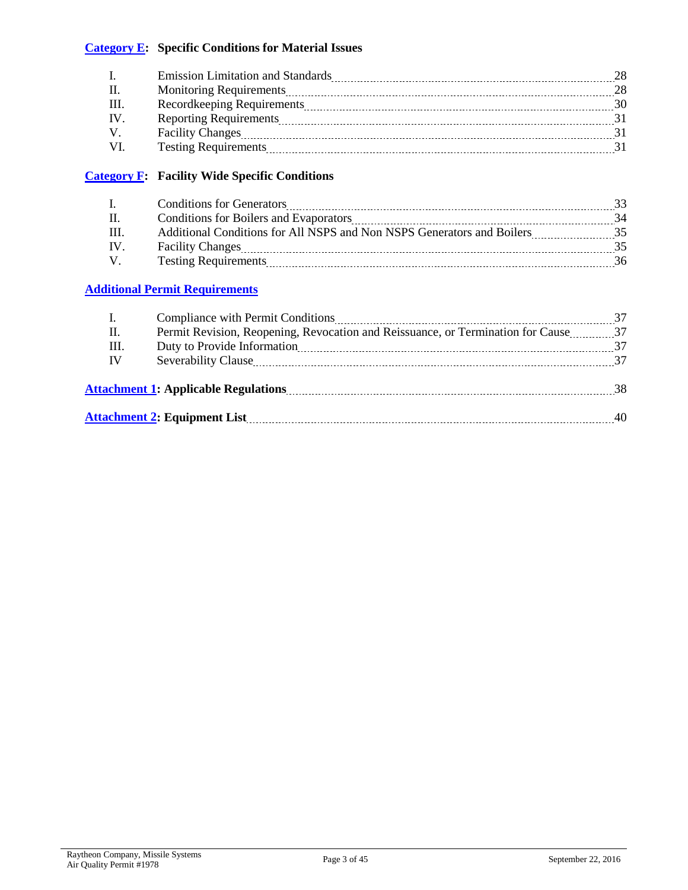#### **[Category E:](#page-27-0) Specific Conditions for Material Issues**

| <b>Emission Limitation and Standards</b> |    |
|------------------------------------------|----|
| <b>Monitoring Requirements</b>           | 28 |
| Recordkeeping Requirements               | 30 |
|                                          |    |
| <b>Facility Changes</b>                  |    |
| <b>Testing Requirements</b>              |    |

#### **[Category F:](#page-31-0) Facility Wide Specific Conditions**

|      | <b>Conditions for Generators</b>                                       |  |
|------|------------------------------------------------------------------------|--|
|      | Conditions for Boilers and Evaporators                                 |  |
|      | Additional Conditions for All NSPS and Non NSPS Generators and Boilers |  |
| - IV | <b>Facility Changes</b>                                                |  |
|      | <b>Testing Requirements</b>                                            |  |

#### **[Additional Permit Requirements](#page-33-0)**

|    | Compliance with Permit Conditions [11] [2010] The Compliance with Permit Conditions [11] [2010] The Complete Register of the Conditions [2010] The Complete Register of the Conditions [2010] The Complete Register of the Con |     |
|----|--------------------------------------------------------------------------------------------------------------------------------------------------------------------------------------------------------------------------------|-----|
| П. | Permit Revision, Reopening, Revocation and Reissuance, or Termination for Cause37                                                                                                                                              |     |
| Ш. |                                                                                                                                                                                                                                | 37  |
| IV |                                                                                                                                                                                                                                | 37  |
|    | <b>Attachment 1: Applicable Regulations</b>                                                                                                                                                                                    | -38 |
|    | <b>Attachment 2: Equipment List</b>                                                                                                                                                                                            | 40  |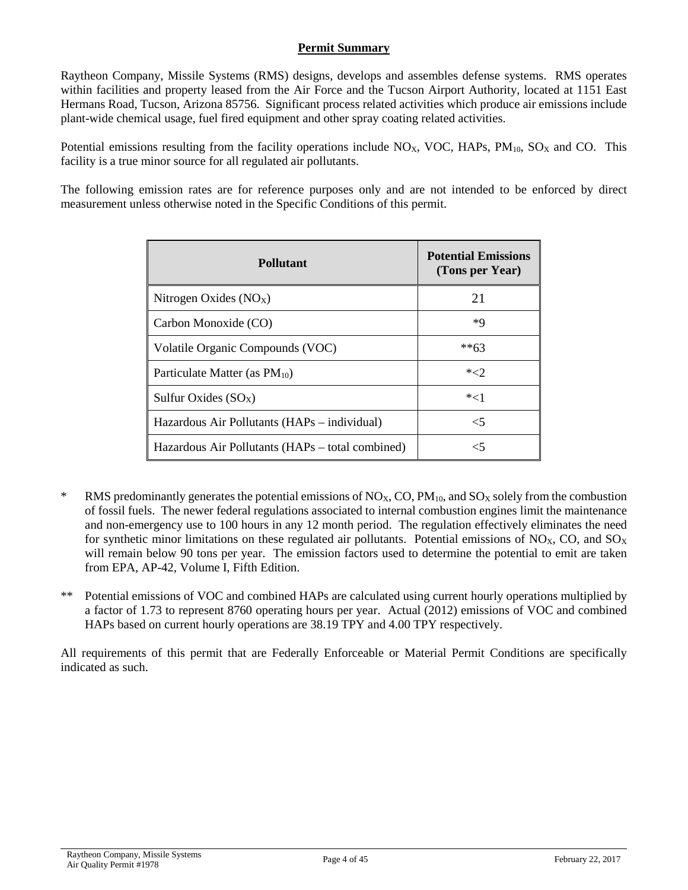#### **Permit Summary**

<span id="page-3-0"></span>Raytheon Company, Missile Systems (RMS) designs, develops and assembles defense systems. RMS operates within facilities and property leased from the Air Force and the Tucson Airport Authority, located at 1151 East Hermans Road, Tucson, Arizona 85756. Significant process related activities which produce air emissions include plant-wide chemical usage, fuel fired equipment and other spray coating related activities.

Potential emissions resulting from the facility operations include  $N_{\rm OX}$ , VOC, HAPs, PM<sub>10</sub>, SO<sub>X</sub> and CO. This facility is a true minor source for all regulated air pollutants.

The following emission rates are for reference purposes only and are not intended to be enforced by direct measurement unless otherwise noted in the Specific Conditions of this permit.

| <b>Pollutant</b>                                 | <b>Potential Emissions</b><br>(Tons per Year) |
|--------------------------------------------------|-----------------------------------------------|
| Nitrogen Oxides $(NOx)$                          | 21                                            |
| Carbon Monoxide (CO)                             | *Q                                            |
| Volatile Organic Compounds (VOC)                 | $*$ *63                                       |
| Particulate Matter (as $PM_{10}$ )               | $*2$                                          |
| Sulfur Oxides $(SO_X)$                           | $*<1$                                         |
| Hazardous Air Pollutants (HAPs – individual)     | $\leq 5$                                      |
| Hazardous Air Pollutants (HAPs – total combined) | $\leq$                                        |

- <sup>\*</sup> RMS predominantly generates the potential emissions of  $NO<sub>X</sub>$ , CO,  $PM<sub>10</sub>$ , and SO<sub>X</sub> solely from the combustion of fossil fuels. The newer federal regulations associated to internal combustion engines limit the maintenance and non-emergency use to 100 hours in any 12 month period. The regulation effectively eliminates the need for synthetic minor limitations on these regulated air pollutants. Potential emissions of  $NO<sub>X</sub>$ , CO, and  $SO<sub>X</sub>$ will remain below 90 tons per year. The emission factors used to determine the potential to emit are taken from EPA, AP-42, Volume I, Fifth Edition.
- \*\* Potential emissions of VOC and combined HAPs are calculated using current hourly operations multiplied by a factor of 1.73 to represent 8760 operating hours per year. Actual (2012) emissions of VOC and combined HAPs based on current hourly operations are 38.19 TPY and 4.00 TPY respectively.

All requirements of this permit that are Federally Enforceable or Material Permit Conditions are specifically indicated as such.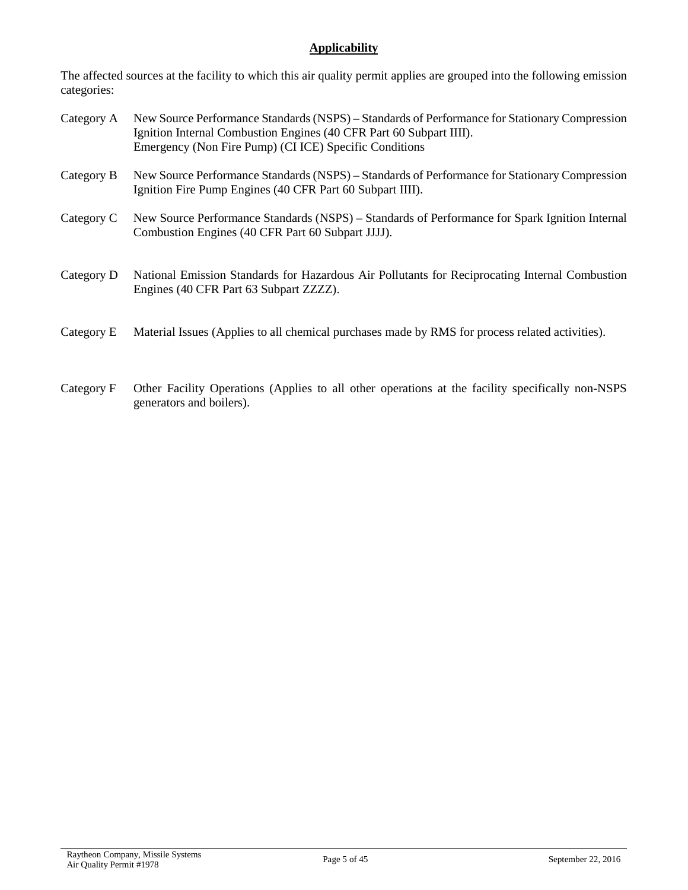#### **Applicability**

The affected sources at the facility to which this air quality permit applies are grouped into the following emission categories:

- Category A New Source Performance Standards (NSPS) Standards of Performance for Stationary Compression Ignition Internal Combustion Engines (40 CFR Part 60 Subpart IIII). Emergency (Non Fire Pump) (CI ICE) Specific Conditions
- Category B New Source Performance Standards (NSPS) Standards of Performance for Stationary Compression Ignition Fire Pump Engines (40 CFR Part 60 Subpart IIII).
- Category C New Source Performance Standards (NSPS) Standards of Performance for Spark Ignition Internal Combustion Engines (40 CFR Part 60 Subpart JJJJ).
- Category D National Emission Standards for Hazardous Air Pollutants for Reciprocating Internal Combustion Engines (40 CFR Part 63 Subpart ZZZZ).
- Category E Material Issues (Applies to all chemical purchases made by RMS for process related activities).
- Category F Other Facility Operations (Applies to all other operations at the facility specifically non-NSPS generators and boilers).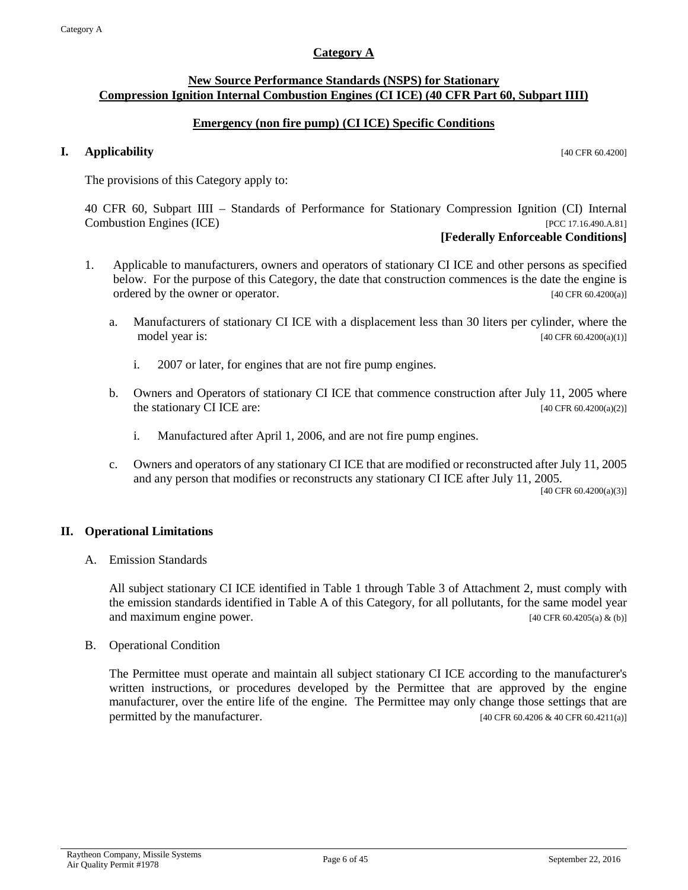#### **Category A**

#### <span id="page-5-0"></span>**New Source Performance Standards (NSPS) for Stationary Compression Ignition Internal Combustion Engines (CI ICE) (40 CFR Part 60, Subpart IIII)**

#### **Emergency (non fire pump) (CI ICE) Specific Conditions**

#### **I. Applicability** [40 CFR 60.4200]

The provisions of this Category apply to:

40 CFR 60, Subpart IIII – Standards of Performance for Stationary Compression Ignition (CI) Internal Combustion Engines (ICE) [PCC 17.16.490.A.81]

#### **[Federally Enforceable Conditions]**

- 1. Applicable to manufacturers, owners and operators of stationary CI ICE and other persons as specified below. For the purpose of this Category, the date that construction commences is the date the engine is ordered by the owner or operator. [40 CFR 60.4200(a)]
	- a. Manufacturers of stationary CI ICE with a displacement less than 30 liters per cylinder, where the model year is: [40 CFR 60.4200(a)(1)]
		- i. 2007 or later, for engines that are not fire pump engines.
	- b. Owners and Operators of stationary CI ICE that commence construction after July 11, 2005 where the stationary CI ICE are:  $[40 \text{ CFR } 60.4200(a)(2)]$ 
		- i. Manufactured after April 1, 2006, and are not fire pump engines.
	- c. Owners and operators of any stationary CI ICE that are modified or reconstructed after July 11, 2005 and any person that modifies or reconstructs any stationary CI ICE after July 11, 2005.

[40 CFR 60.4200(a)(3)]

#### **II. Operational Limitations**

A. Emission Standards

All subject stationary CI ICE identified in Table 1 through Table 3 of Attachment 2, must comply with the emission standards identified in Table A of this Category, for all pollutants, for the same model year and maximum engine power.  $[40 \text{ CFR } 60.4205(a) \& (b)]$ 

B. Operational Condition

The Permittee must operate and maintain all subject stationary CI ICE according to the manufacturer's written instructions, or procedures developed by the Permittee that are approved by the engine manufacturer, over the entire life of the engine. The Permittee may only change those settings that are permitted by the manufacturer. [40 CFR 60.4206 & 40 CFR 60.4211(a)]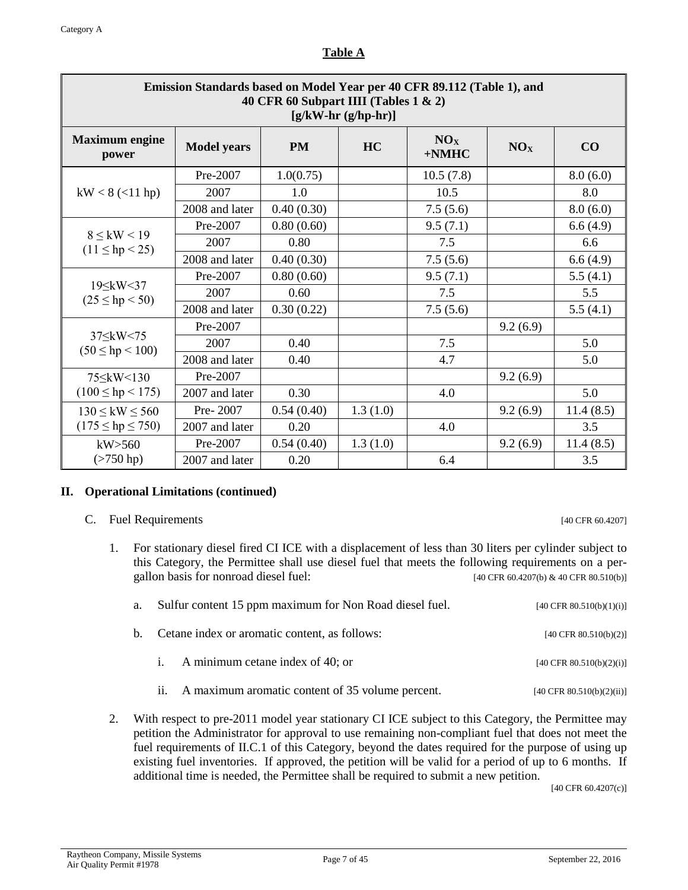| ٠ |  |
|---|--|
|   |  |

| Emission Standards based on Model Year per 40 CFR 89.112 (Table 1), and<br>40 CFR 60 Subpart IIII (Tables 1 & 2)<br>$[g/kW-hr(g/hp-hr)]$ |                    |            |           |                             |                 |           |
|------------------------------------------------------------------------------------------------------------------------------------------|--------------------|------------|-----------|-----------------------------|-----------------|-----------|
| <b>Maximum</b> engine<br>power                                                                                                           | <b>Model</b> years | <b>PM</b>  | <b>HC</b> | NO <sub>X</sub><br>$+N$ MHC | NO <sub>X</sub> | CO        |
|                                                                                                                                          | $Pre-2007$         | 1.0(0.75)  |           | 10.5(7.8)                   |                 | 8.0(6.0)  |
| $kW < 8$ (<11 hp)                                                                                                                        | 2007               | 1.0        |           | 10.5                        |                 | 8.0       |
|                                                                                                                                          | 2008 and later     | 0.40(0.30) |           | 7.5(5.6)                    |                 | 8.0(6.0)  |
|                                                                                                                                          | Pre-2007           | 0.80(0.60) |           | 9.5(7.1)                    |                 | 6.6(4.9)  |
| $8 \leq$ kW < 19<br>$(11 \le hp < 25)$                                                                                                   | 2007               | 0.80       |           | 7.5                         |                 | 6.6       |
|                                                                                                                                          | 2008 and later     | 0.40(0.30) |           | 7.5(5.6)                    |                 | 6.6(4.9)  |
|                                                                                                                                          | Pre-2007           | 0.80(0.60) |           | 9.5(7.1)                    |                 | 5.5(4.1)  |
| 19 \ kW \ 37<br>$(25 \le hp < 50)$                                                                                                       | 2007               | 0.60       |           | 7.5                         |                 | 5.5       |
|                                                                                                                                          | 2008 and later     | 0.30(0.22) |           | 7.5(5.6)                    |                 | 5.5(4.1)  |
|                                                                                                                                          | Pre-2007           |            |           |                             | 9.2(6.9)        |           |
| $37 \leq$ kW < 75<br>$(50 \le hp < 100)$                                                                                                 | 2007               | 0.40       |           | 7.5                         |                 | 5.0       |
|                                                                                                                                          | 2008 and later     | 0.40       |           | 4.7                         |                 | 5.0       |
|                                                                                                                                          | Pre-2007           |            |           |                             | 9.2(6.9)        |           |
| $(100 \le hp < 175)$                                                                                                                     | 2007 and later     | 0.30       |           | 4.0                         |                 | 5.0       |
| $130 \leq$ kW $\leq 560$                                                                                                                 | Pre-2007           | 0.54(0.40) | 1.3(1.0)  |                             | 9.2(6.9)        | 11.4(8.5) |
| $(175 \le hp \le 750)$                                                                                                                   | 2007 and later     | 0.20       |           | 4.0                         |                 | 3.5       |
| kW > 560                                                                                                                                 | Pre-2007           | 0.54(0.40) | 1.3(1.0)  |                             | 9.2(6.9)        | 11.4(8.5) |
| $($ >750 hp)                                                                                                                             | 2007 and later     | 0.20       |           | 6.4                         |                 | 3.5       |

#### **II. Operational Limitations (continued)**

C. Fuel Requirements [40 CFR 60.4207]

1. For stationary diesel fired CI ICE with a displacement of less than 30 liters per cylinder subject to this Category, the Permittee shall use diesel fuel that meets the following requirements on a pergallon basis for nonroad diesel fuel:  $[40 \text{ CFR } 60.4207 \text{ (b) } \& 40 \text{ CFR } 80.510 \text{ (b)}]$ 

| а. – |     | Sulfur content 15 ppm maximum for Non Road diesel fuel. | [40 CFR $80.510(b)(1)(i)$ ] |
|------|-----|---------------------------------------------------------|-----------------------------|
|      |     | b. Cetane index or aromatic content, as follows:        | [40 CFR $80.510(b)(2)$ ]    |
|      |     | i. A minimum cetane index of 40; or                     | [40 CFR $80.510(b)(2)(i)$ ] |
|      | 11. | A maximum aromatic content of 35 volume percent.        | [40 CFR 80.510(b)(2)(ii)]   |

2. With respect to pre-2011 model year stationary CI ICE subject to this Category, the Permittee may petition the Administrator for approval to use remaining non-compliant fuel that does not meet the fuel requirements of II.C.1 of this Category, beyond the dates required for the purpose of using up existing fuel inventories. If approved, the petition will be valid for a period of up to 6 months. If additional time is needed, the Permittee shall be required to submit a new petition.

[40 CFR 60.4207(c)]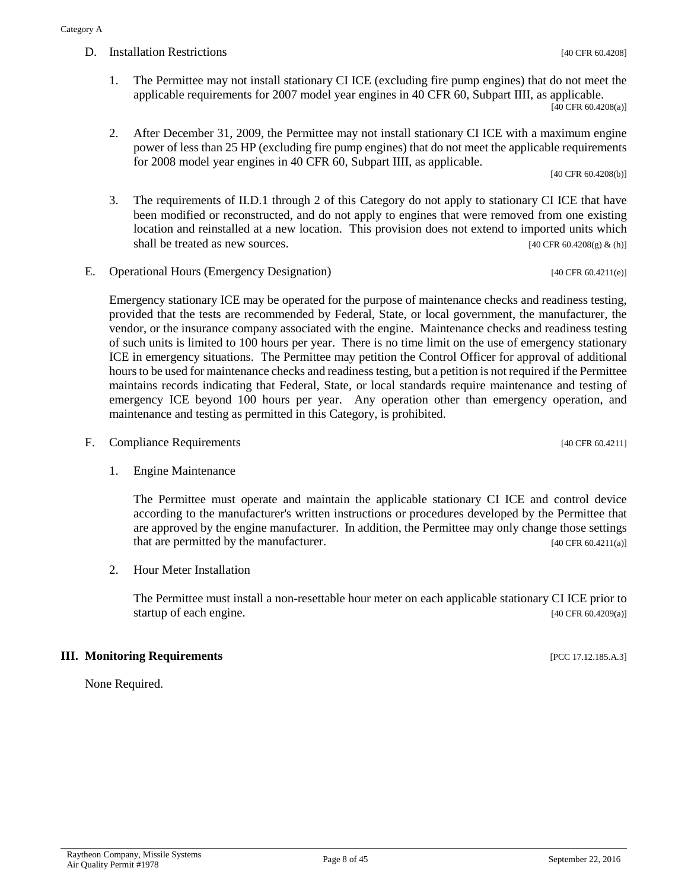- 1. The Permittee may not install stationary CI ICE (excluding fire pump engines) that do not meet the applicable requirements for 2007 model year engines in 40 CFR 60, Subpart IIII, as applicable. [40 CFR 60.4208(a)]
- 2. After December 31, 2009, the Permittee may not install stationary CI ICE with a maximum engine power of less than 25 HP (excluding fire pump engines) that do not meet the applicable requirements for 2008 model year engines in 40 CFR 60, Subpart IIII, as applicable.

[40 CFR 60.4208(b)]

- 3. The requirements of II.D.1 through 2 of this Category do not apply to stationary CI ICE that have been modified or reconstructed, and do not apply to engines that were removed from one existing location and reinstalled at a new location. This provision does not extend to imported units which shall be treated as new sources. [40 CFR 60.4208(g)  $\&$  (h)]
- E. Operational Hours (Emergency Designation) [40 CFR 60.4211(e)]

Emergency stationary ICE may be operated for the purpose of maintenance checks and readiness testing, provided that the tests are recommended by Federal, State, or local government, the manufacturer, the vendor, or the insurance company associated with the engine. Maintenance checks and readiness testing of such units is limited to 100 hours per year. There is no time limit on the use of emergency stationary ICE in emergency situations. The Permittee may petition the Control Officer for approval of additional hours to be used for maintenance checks and readiness testing, but a petition is not required if the Permittee maintains records indicating that Federal, State, or local standards require maintenance and testing of emergency ICE beyond 100 hours per year. Any operation other than emergency operation, and maintenance and testing as permitted in this Category, is prohibited.

- F. Compliance Requirements [40 CFR 60.4211]
	- 1. Engine Maintenance

The Permittee must operate and maintain the applicable stationary CI ICE and control device according to the manufacturer's written instructions or procedures developed by the Permittee that are approved by the engine manufacturer. In addition, the Permittee may only change those settings that are permitted by the manufacturer. [40 CFR 60.4211(a)]

2. Hour Meter Installation

The Permittee must install a non-resettable hour meter on each applicable stationary CI ICE prior to startup of each engine. [40 CFR 60.4209(a)]

#### **III. Monitoring Requirements IPCC 17.12.185.A.3**]

None Required.

#### D. Installation Restrictions [40 CFR 60.4208]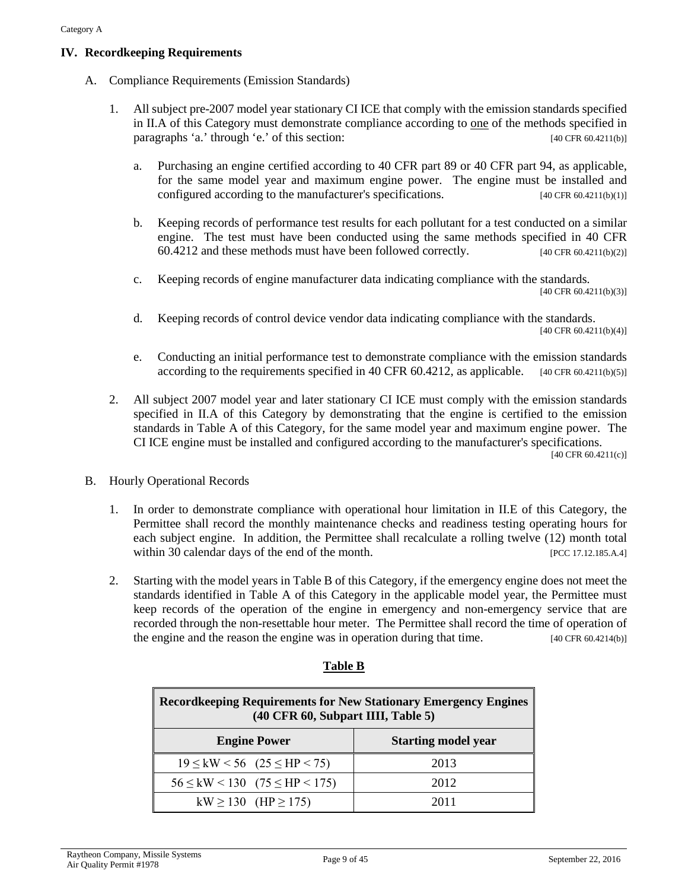#### **IV. Recordkeeping Requirements**

- A. Compliance Requirements (Emission Standards)
	- 1. All subject pre-2007 model year stationary CI ICE that comply with the emission standards specified in II.A of this Category must demonstrate compliance according to one of the methods specified in paragraphs 'a.' through 'e.' of this section: [40 CFR 60.4211(b)]
		- a. Purchasing an engine certified according to 40 CFR part 89 or 40 CFR part 94, as applicable, for the same model year and maximum engine power. The engine must be installed and configured according to the manufacturer's specifications. [40 CFR 60.4211(b)(1)]
		- b. Keeping records of performance test results for each pollutant for a test conducted on a similar engine. The test must have been conducted using the same methods specified in 40 CFR 60.4212 and these methods must have been followed correctly. [40 CFR 60.4211(b)(2)]
		- c. Keeping records of engine manufacturer data indicating compliance with the standards. [40 CFR 60.4211(b)(3)]
		- d. Keeping records of control device vendor data indicating compliance with the standards. [40 CFR 60.4211(b)(4)]
		- e. Conducting an initial performance test to demonstrate compliance with the emission standards according to the requirements specified in 40 CFR  $60.4212$ , as applicable.  $[40 \text{ CFR } 60.4211(b)(5)]$
	- 2. All subject 2007 model year and later stationary CI ICE must comply with the emission standards specified in II.A of this Category by demonstrating that the engine is certified to the emission standards in Table A of this Category, for the same model year and maximum engine power. The CI ICE engine must be installed and configured according to the manufacturer's specifications.

[40 CFR 60.4211(c)]

- B. Hourly Operational Records
	- 1. In order to demonstrate compliance with operational hour limitation in II.E of this Category, the Permittee shall record the monthly maintenance checks and readiness testing operating hours for each subject engine. In addition, the Permittee shall recalculate a rolling twelve (12) month total within 30 calendar days of the end of the month. [PCC 17.12.185.A.4]
	- 2. Starting with the model years in Table B of this Category, if the emergency engine does not meet the standards identified in Table A of this Category in the applicable model year, the Permittee must keep records of the operation of the engine in emergency and non-emergency service that are recorded through the non-resettable hour meter. The Permittee shall record the time of operation of the engine and the reason the engine was in operation during that time. [40 CFR 60.4214(b)]

| <b>Record keeping Requirements for New Stationary Emergency Engines</b><br>(40 CFR 60, Subpart IIII, Table 5) |      |  |  |  |  |  |  |
|---------------------------------------------------------------------------------------------------------------|------|--|--|--|--|--|--|
| <b>Starting model year</b><br><b>Engine Power</b>                                                             |      |  |  |  |  |  |  |
| $19 \leq {\rm kW} \leq 56$ (25 $\leq$ HP $\leq$ 75)                                                           | 2013 |  |  |  |  |  |  |
| $56 \leq \text{kW} < 130$ $(75 \leq \text{HP} < 175)$                                                         | 2012 |  |  |  |  |  |  |
| kW $\ge$ 130 (HP $\ge$ 175)                                                                                   | 2011 |  |  |  |  |  |  |

#### **Table B**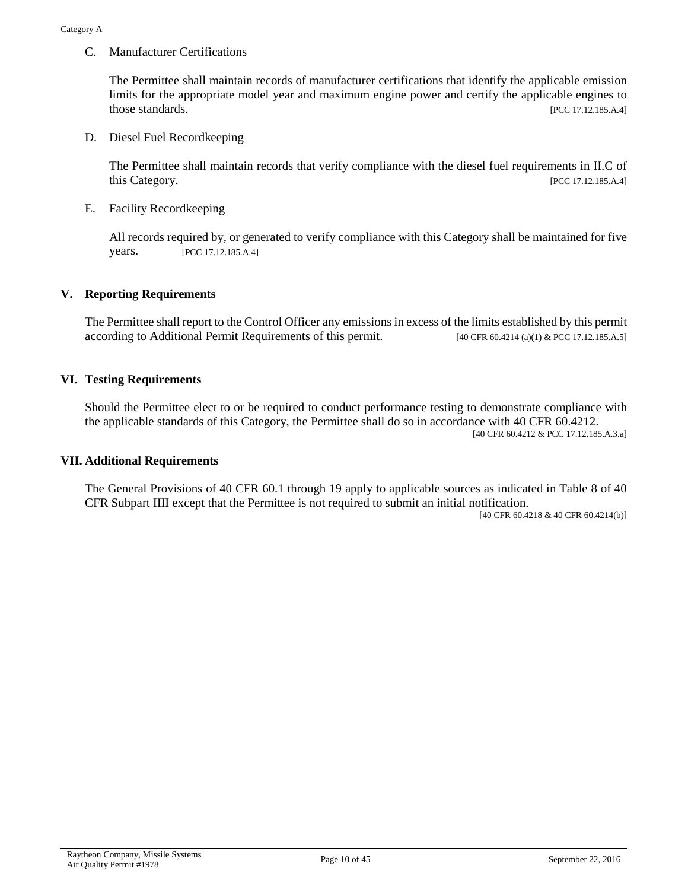C. Manufacturer Certifications

The Permittee shall maintain records of manufacturer certifications that identify the applicable emission limits for the appropriate model year and maximum engine power and certify the applicable engines to those standards. [PCC 17.12.185.A.4]

D. Diesel Fuel Recordkeeping

The Permittee shall maintain records that verify compliance with the diesel fuel requirements in II.C of this Category. [PCC 17.12.185.A.4]

E. Facility Recordkeeping

All records required by, or generated to verify compliance with this Category shall be maintained for five years. [PCC 17.12.185.A.4]

#### **V. Reporting Requirements**

The Permittee shall report to the Control Officer any emissions in excess of the limits established by this permit according to Additional Permit Requirements of this permit. [40 CFR 60.4214 (a)(1) & PCC 17.12.185.A.5]

#### **VI. Testing Requirements**

Should the Permittee elect to or be required to conduct performance testing to demonstrate compliance with the applicable standards of this Category, the Permittee shall do so in accordance with 40 CFR 60.4212. [40 CFR 60.4212 & PCC 17.12.185.A.3.a]

#### **VII. Additional Requirements**

The General Provisions of 40 CFR 60.1 through 19 apply to applicable sources as indicated in Table 8 of 40 CFR Subpart IIII except that the Permittee is not required to submit an initial notification.

[40 CFR 60.4218 & 40 CFR 60.4214(b)]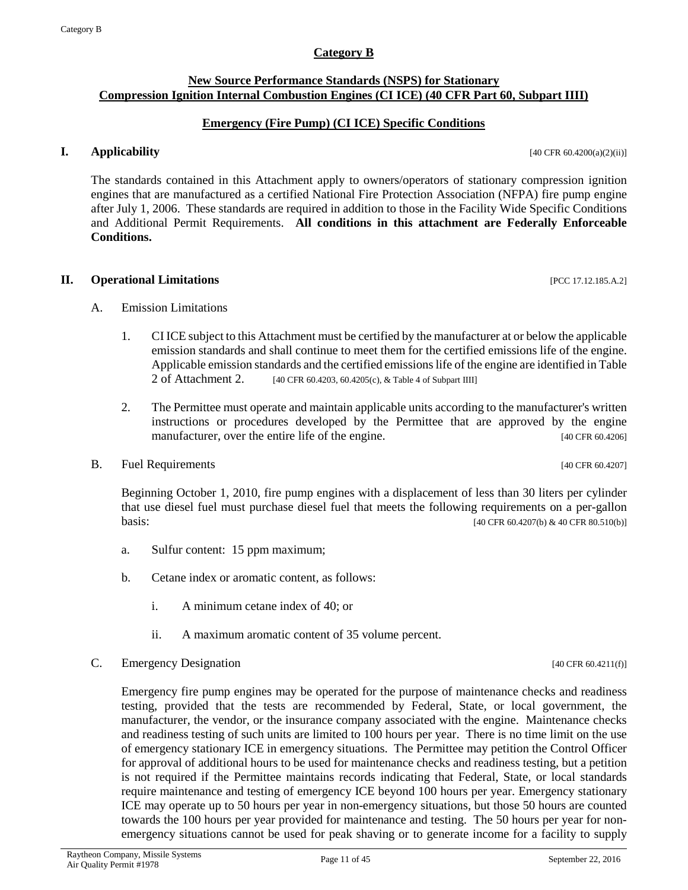#### **Category B**

#### <span id="page-10-0"></span>**New Source Performance Standards (NSPS) for Stationary Compression Ignition Internal Combustion Engines (CI ICE) (40 CFR Part 60, Subpart IIII)**

#### **Emergency (Fire Pump) (CI ICE) Specific Conditions**

#### **I. Applicability** [40 CFR 60.4200(a)(2)(ii)]

The standards contained in this Attachment apply to owners/operators of stationary compression ignition engines that are manufactured as a certified National Fire Protection Association (NFPA) fire pump engine after July 1, 2006. These standards are required in addition to those in the Facility Wide Specific Conditions and Additional Permit Requirements. **All conditions in this attachment are Federally Enforceable Conditions.**

**II. Operational Limitations** [PCC 17.12.185.A.2]

- A. Emission Limitations
	- 1. CI ICE subject to this Attachment must be certified by the manufacturer at or below the applicable emission standards and shall continue to meet them for the certified emissions life of the engine. Applicable emission standards and the certified emissions life of the engine are identified in Table 2 of Attachment 2. [40 CFR 60.4203, 60.4205(c), & Table 4 of Subpart IIII]
	- 2. The Permittee must operate and maintain applicable units according to the manufacturer's written instructions or procedures developed by the Permittee that are approved by the engine manufacturer, over the entire life of the engine. [40 CFR 60.4206]
- B. Fuel Requirements [40 CFR 60.4207]

Beginning October 1, 2010, fire pump engines with a displacement of less than 30 liters per cylinder that use diesel fuel must purchase diesel fuel that meets the following requirements on a per-gallon **basis:**  $[40 \text{ CFR } 60.4207 \text{ (b)} \& 40 \text{ CFR } 80.510 \text{ (b)}]$ 

- a. Sulfur content: 15 ppm maximum;
- b. Cetane index or aromatic content, as follows:
	- i. A minimum cetane index of 40; or
	- ii. A maximum aromatic content of 35 volume percent.
- C. Emergency Designation  $[40 \text{ CF } 60.4211(f)]$

Emergency fire pump engines may be operated for the purpose of maintenance checks and readiness testing, provided that the tests are recommended by Federal, State, or local government, the manufacturer, the vendor, or the insurance company associated with the engine. Maintenance checks and readiness testing of such units are limited to 100 hours per year. There is no time limit on the use of emergency stationary ICE in emergency situations. The Permittee may petition the Control Officer for approval of additional hours to be used for maintenance checks and readiness testing, but a petition is not required if the Permittee maintains records indicating that Federal, State, or local standards require maintenance and testing of emergency ICE beyond 100 hours per year. Emergency stationary ICE may operate up to 50 hours per year in non-emergency situations, but those 50 hours are counted towards the 100 hours per year provided for maintenance and testing. The 50 hours per year for nonemergency situations cannot be used for peak shaving or to generate income for a facility to supply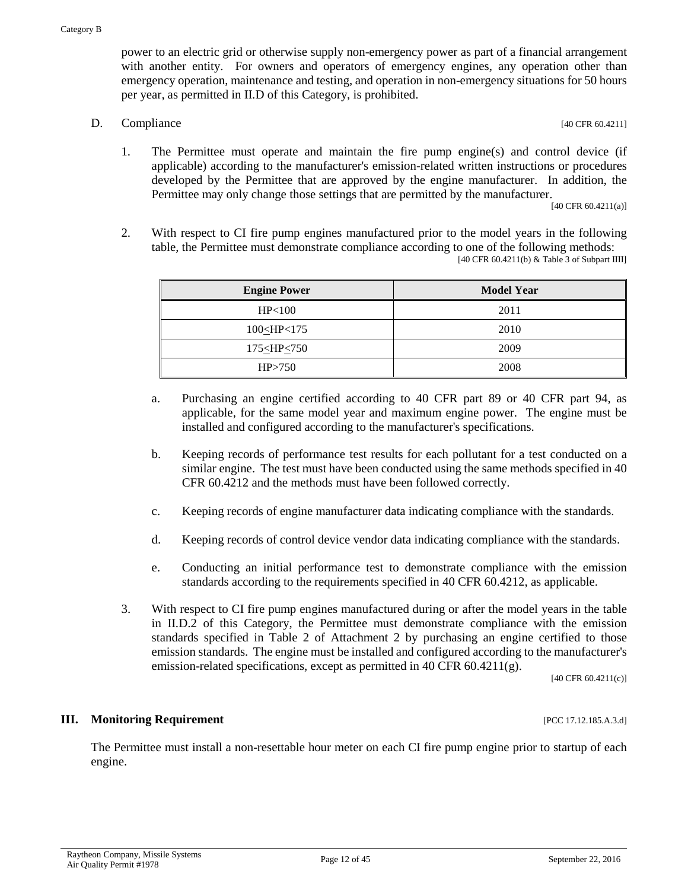power to an electric grid or otherwise supply non-emergency power as part of a financial arrangement with another entity. For owners and operators of emergency engines, any operation other than emergency operation, maintenance and testing, and operation in non-emergency situations for 50 hours per year, as permitted in II.D of this Category, is prohibited.

D. Compliance [40 CFR 60.4211]

1. The Permittee must operate and maintain the fire pump engine(s) and control device (if applicable) according to the manufacturer's emission-related written instructions or procedures developed by the Permittee that are approved by the engine manufacturer. In addition, the Permittee may only change those settings that are permitted by the manufacturer.

[40 CFR 60.4211(a)]

2. With respect to CI fire pump engines manufactured prior to the model years in the following table, the Permittee must demonstrate compliance according to one of the following methods: [40 CFR 60.4211(b) & Table 3 of Subpart IIII]

| <b>Engine Power</b>           | <b>Model Year</b> |
|-------------------------------|-------------------|
| HP <sub>100</sub>             | 2011              |
| $100$ $H$ P $<$ 175           | 2010              |
| $175 \leq \text{HP} \leq 750$ | 2009              |
| HP > 750                      | 2008              |

- a. Purchasing an engine certified according to 40 CFR part 89 or 40 CFR part 94, as applicable, for the same model year and maximum engine power. The engine must be installed and configured according to the manufacturer's specifications.
- b. Keeping records of performance test results for each pollutant for a test conducted on a similar engine. The test must have been conducted using the same methods specified in 40 CFR 60.4212 and the methods must have been followed correctly.
- c. Keeping records of engine manufacturer data indicating compliance with the standards.
- d. Keeping records of control device vendor data indicating compliance with the standards.
- e. Conducting an initial performance test to demonstrate compliance with the emission standards according to the requirements specified in 40 CFR 60.4212, as applicable.
- 3. With respect to CI fire pump engines manufactured during or after the model years in the table in II.D.2 of this Category, the Permittee must demonstrate compliance with the emission standards specified in Table 2 of Attachment 2 by purchasing an engine certified to those emission standards. The engine must be installed and configured according to the manufacturer's emission-related specifications, except as permitted in 40 CFR 60.4211(g).

[40 CFR 60.4211(c)]

#### **III. Monitoring Requirement** [PCC 17.12.185.A.3.d]

The Permittee must install a non-resettable hour meter on each CI fire pump engine prior to startup of each engine.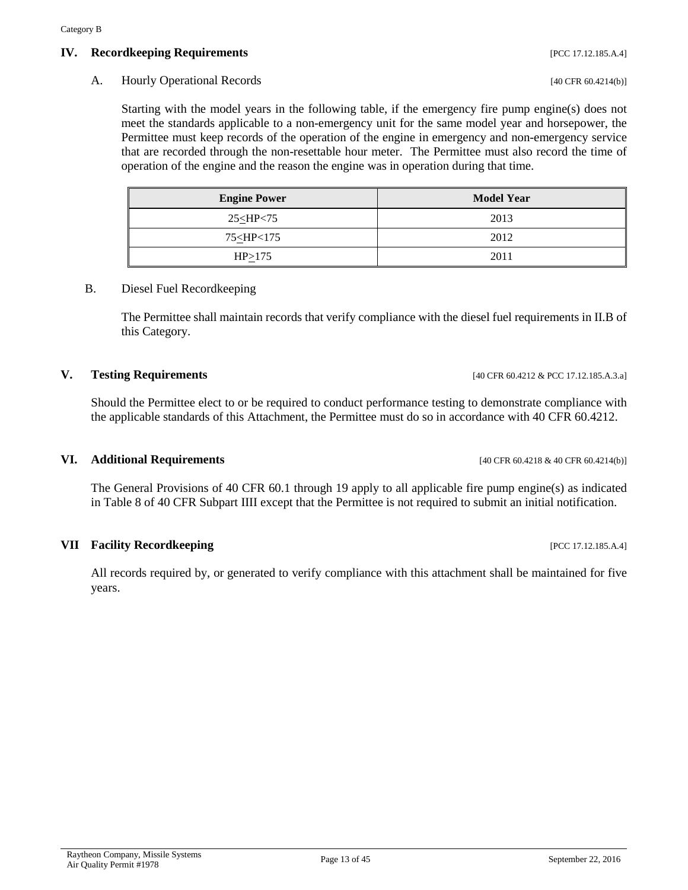#### **IV. Recordkeeping Requirements IV. Property Requirements [PCC 17.12.185.A.4]**

#### A. Hourly Operational Records [40 CFR 60.4214(b)]

Starting with the model years in the following table, if the emergency fire pump engine(s) does not meet the standards applicable to a non-emergency unit for the same model year and horsepower, the Permittee must keep records of the operation of the engine in emergency and non-emergency service that are recorded through the non-resettable hour meter. The Permittee must also record the time of operation of the engine and the reason the engine was in operation during that time.

| <b>Engine Power</b>                       | <b>Model Year</b> |  |  |  |  |
|-------------------------------------------|-------------------|--|--|--|--|
| $25<$ HP $<$ 75                           | 2013              |  |  |  |  |
| 75 <hp<175< td=""><td>2012</td></hp<175<> | 2012              |  |  |  |  |
| HP > 175                                  | 2011              |  |  |  |  |

#### B. Diesel Fuel Recordkeeping

The Permittee shall maintain records that verify compliance with the diesel fuel requirements in II.B of this Category.

#### **V. Testing Requirements** [40 CFR 60.4212 & PCC 17.12.185.A.3.a]

Should the Permittee elect to or be required to conduct performance testing to demonstrate compliance with the applicable standards of this Attachment, the Permittee must do so in accordance with 40 CFR 60.4212.

#### **VI. Additional Requirements** [40 CFR 60.4218 & 40 CFR 60.4214(b)]

The General Provisions of 40 CFR 60.1 through 19 apply to all applicable fire pump engine(s) as indicated in Table 8 of 40 CFR Subpart IIII except that the Permittee is not required to submit an initial notification.

#### **VII Facility Recordkeeping** *IPCC 17.12.185.A.4***]**

All records required by, or generated to verify compliance with this attachment shall be maintained for five years.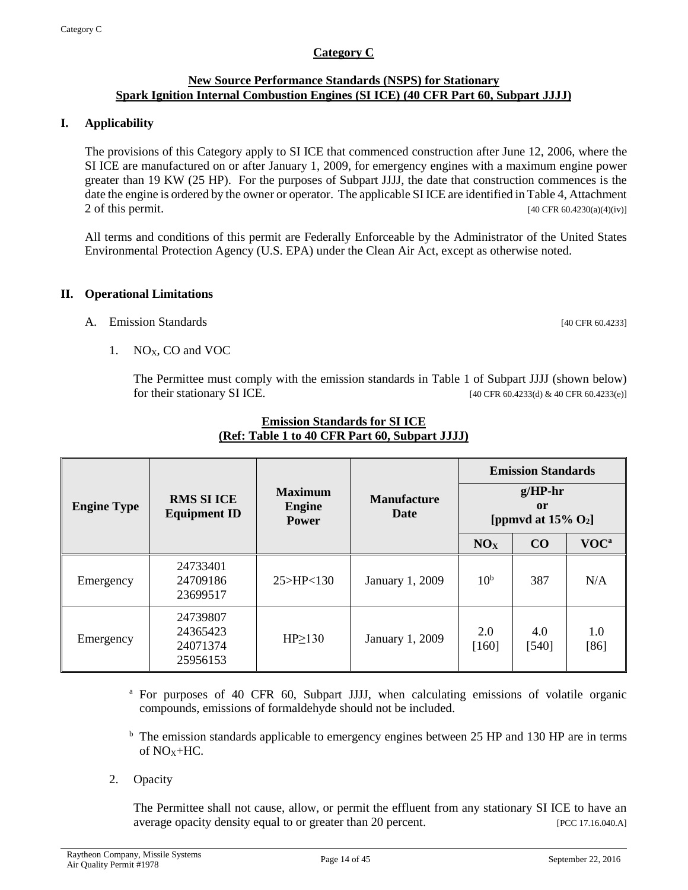#### **Category C**

#### <span id="page-13-0"></span>**New Source Performance Standards (NSPS) for Stationary Spark Ignition Internal Combustion Engines (SI ICE) (40 CFR Part 60, Subpart JJJJ)**

#### **I. Applicability**

The provisions of this Category apply to SI ICE that commenced construction after June 12, 2006, where the SI ICE are manufactured on or after January 1, 2009, for emergency engines with a maximum engine power greater than 19 KW (25 HP). For the purposes of Subpart JJJJ, the date that construction commences is the date the engine is ordered by the owner or operator. The applicable SI ICE are identified in Table 4, Attachment 2 of this permit.  $[40 \text{ CFR } 60.4230(a)(4)(iv)]$ 

All terms and conditions of this permit are Federally Enforceable by the Administrator of the United States Environmental Protection Agency (U.S. EPA) under the Clean Air Act, except as otherwise noted.

#### **II. Operational Limitations**

A. Emission Standards [40 CFR 60.4233]

1. NO<sub>X</sub>, CO and VOC

The Permittee must comply with the emission standards in Table 1 of Subpart JJJJ (shown below) for their stationary SI ICE. [40 CFR 60.4233(d) & 40 CFR 60.4233(e)]

|                    |                                                    |                                                 |                            | <b>Emission Standards</b><br>$g/HP-hr$<br><sub>or</sub><br>[ppmvd at $15\%$ O <sub>2</sub> ] |              |                  |  |
|--------------------|----------------------------------------------------|-------------------------------------------------|----------------------------|----------------------------------------------------------------------------------------------|--------------|------------------|--|
| <b>Engine Type</b> | <b>RMS SI ICE</b><br><b>Equipment ID</b>           | <b>Maximum</b><br><b>Engine</b><br><b>Power</b> | <b>Manufacture</b><br>Date |                                                                                              |              |                  |  |
|                    |                                                    |                                                 |                            | NO <sub>x</sub>                                                                              | CO           | VOC <sup>a</sup> |  |
| Emergency          | 24733401<br>25 > H P < 130<br>24709186<br>23699517 |                                                 | January 1, 2009            | 10 <sup>b</sup>                                                                              | 387          | N/A              |  |
| Emergency          | 24739807<br>24365423<br>24071374<br>25956153       | $HP \geq 130$                                   | January 1, 2009            | 2.0<br>$[160]$                                                                               | 4.0<br>[540] | 1.0<br>[86]      |  |

#### **Emission Standards for SI ICE (Ref: Table 1 to 40 CFR Part 60, Subpart JJJJ)**

<sup>a</sup> For purposes of 40 CFR 60, Subpart JJJJ, when calculating emissions of volatile organic compounds, emissions of formaldehyde should not be included.

 $<sup>b</sup>$  The emission standards applicable to emergency engines between 25 HP and 130 HP are in terms</sup> of  $NOx+HC$ .

2. Opacity

The Permittee shall not cause, allow, or permit the effluent from any stationary SI ICE to have an average opacity density equal to or greater than 20 percent. [PCC 17.16.040.A]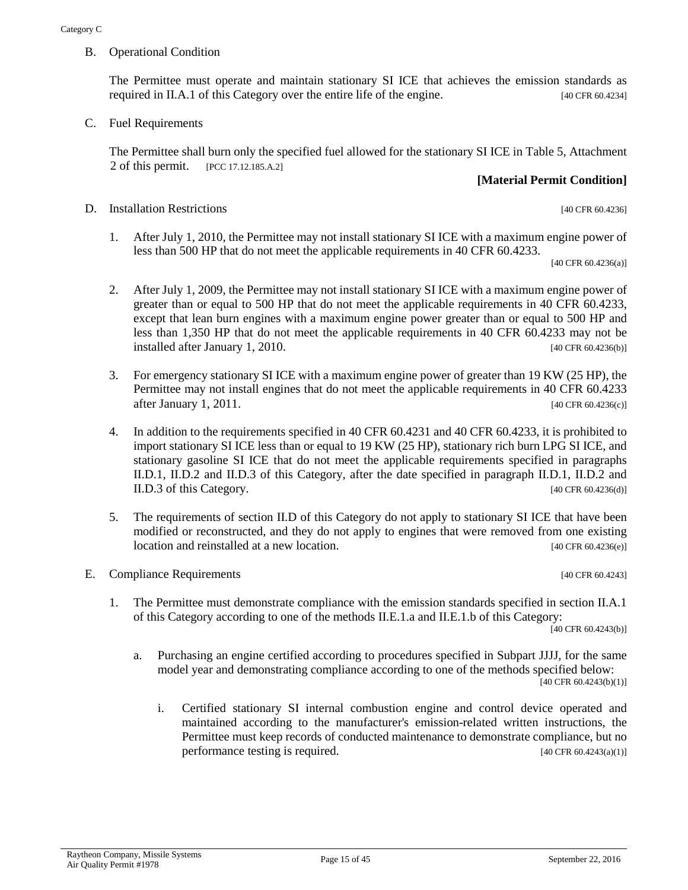B. Operational Condition

The Permittee must operate and maintain stationary SI ICE that achieves the emission standards as required in II.A.1 of this Category over the entire life of the engine. [40 CFR 60.4234]

C. Fuel Requirements

The Permittee shall burn only the specified fuel allowed for the stationary SI ICE in Table 5, Attachment 2 of this permit. [PCC 17.12.185.A.2]

#### **[Material Permit Condition]**

D. Installation Restrictions [40 CFR 60.4236]

1. After July 1, 2010, the Permittee may not install stationary SI ICE with a maximum engine power of less than 500 HP that do not meet the applicable requirements in 40 CFR 60.4233.

[40 CFR 60.4236(a)]

- 2. After July 1, 2009, the Permittee may not install stationary SI ICE with a maximum engine power of greater than or equal to 500 HP that do not meet the applicable requirements in 40 CFR 60.4233, except that lean burn engines with a maximum engine power greater than or equal to 500 HP and less than 1,350 HP that do not meet the applicable requirements in 40 CFR 60.4233 may not be installed after January 1, 2010. [40 CFR 60.4236(b)]
- 3. For emergency stationary SI ICE with a maximum engine power of greater than 19 KW (25 HP), the Permittee may not install engines that do not meet the applicable requirements in 40 CFR 60.4233 after January 1, 2011. [40 CFR 60.4236(c)]
- 4. In addition to the requirements specified in 40 CFR 60.4231 and 40 CFR 60.4233, it is prohibited to import stationary SI ICE less than or equal to 19 KW (25 HP), stationary rich burn LPG SI ICE, and stationary gasoline SI ICE that do not meet the applicable requirements specified in paragraphs II.D.1, II.D.2 and II.D.3 of this Category, after the date specified in paragraph II.D.1, II.D.2 and II.D.3 of this Category. [40 CFR 60.4236(d)]
- 5. The requirements of section II.D of this Category do not apply to stationary SI ICE that have been modified or reconstructed, and they do not apply to engines that were removed from one existing location and reinstalled at a new location. **Example 20** (40 CFR 60.4236(e)]

#### E. Compliance Requirements [40 CFR 60.4243]

1. The Permittee must demonstrate compliance with the emission standards specified in section II.A.1 of this Category according to one of the methods II.E.1.a and II.E.1.b of this Category:

[40 CFR 60.4243(b)]

- a. Purchasing an engine certified according to procedures specified in Subpart JJJJ, for the same model year and demonstrating compliance according to one of the methods specified below: [40 CFR 60.4243(b)(1)]
	- i. Certified stationary SI internal combustion engine and control device operated and maintained according to the manufacturer's emission-related written instructions, the Permittee must keep records of conducted maintenance to demonstrate compliance, but no performance testing is required.  $[40 \text{ CFR } 60.4243(a)(1)]$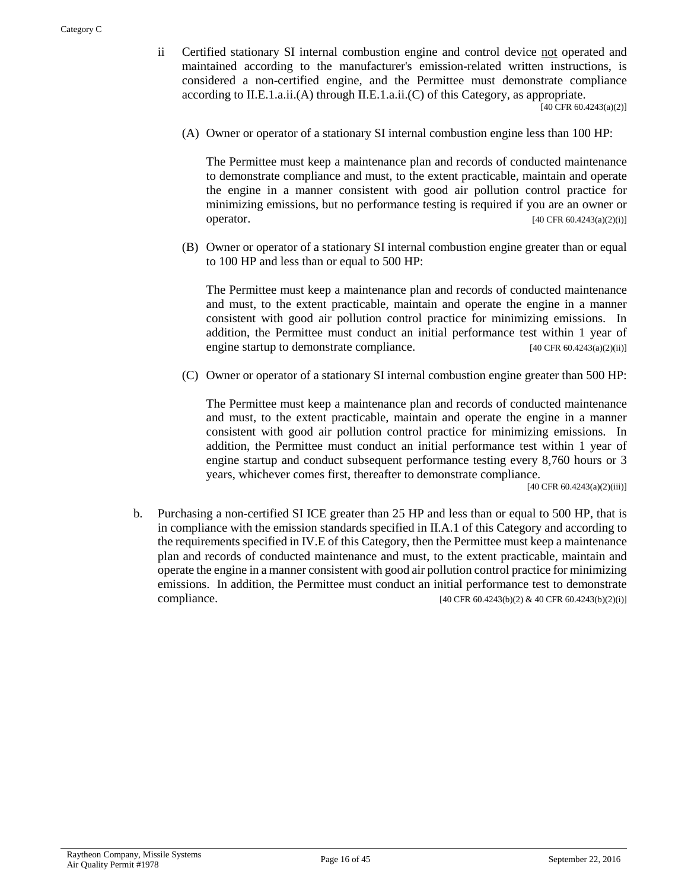- ii Certified stationary SI internal combustion engine and control device not operated and maintained according to the manufacturer's emission-related written instructions, is considered a non-certified engine, and the Permittee must demonstrate compliance according to II.E.1.a.ii.(A) through II.E.1.a.ii.(C) of this Category, as appropriate. [40 CFR 60.4243(a)(2)]
	- (A) Owner or operator of a stationary SI internal combustion engine less than 100 HP:

The Permittee must keep a maintenance plan and records of conducted maintenance to demonstrate compliance and must, to the extent practicable, maintain and operate the engine in a manner consistent with good air pollution control practice for minimizing emissions, but no performance testing is required if you are an owner or operator.  $[40 \text{ CFR } 60.4243(a)(2)(i)]$ 

(B) Owner or operator of a stationary SI internal combustion engine greater than or equal to 100 HP and less than or equal to 500 HP:

The Permittee must keep a maintenance plan and records of conducted maintenance and must, to the extent practicable, maintain and operate the engine in a manner consistent with good air pollution control practice for minimizing emissions. In addition, the Permittee must conduct an initial performance test within 1 year of engine startup to demonstrate compliance. [40 CFR 60.4243(a)(2)(ii)]

(C) Owner or operator of a stationary SI internal combustion engine greater than 500 HP:

The Permittee must keep a maintenance plan and records of conducted maintenance and must, to the extent practicable, maintain and operate the engine in a manner consistent with good air pollution control practice for minimizing emissions. In addition, the Permittee must conduct an initial performance test within 1 year of engine startup and conduct subsequent performance testing every 8,760 hours or 3 years, whichever comes first, thereafter to demonstrate compliance.

[40 CFR 60.4243(a)(2)(iii)]

b. Purchasing a non-certified SI ICE greater than 25 HP and less than or equal to 500 HP, that is in compliance with the emission standards specified in II.A.1 of this Category and according to the requirements specified in IV.E of this Category, then the Permittee must keep a maintenance plan and records of conducted maintenance and must, to the extent practicable, maintain and operate the engine in a manner consistent with good air pollution control practice for minimizing emissions. In addition, the Permittee must conduct an initial performance test to demonstrate compliance.  $[40 \text{ CFR } 60.4243(b)(2) \& 40 \text{ CFR } 60.4243(b)(2)(i)]$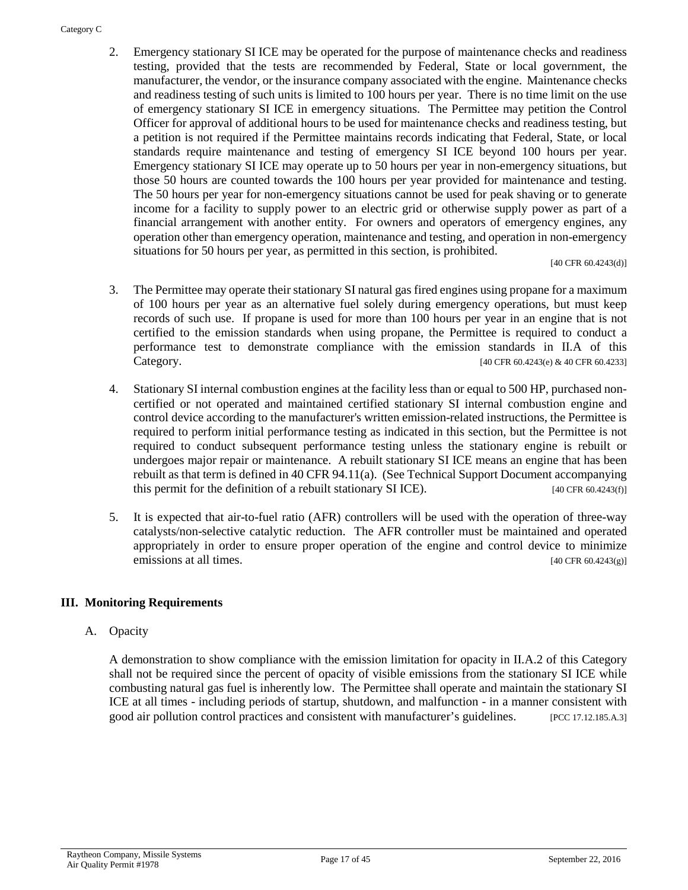#### Category C

2. Emergency stationary SI ICE may be operated for the purpose of maintenance checks and readiness testing, provided that the tests are recommended by Federal, State or local government, the manufacturer, the vendor, or the insurance company associated with the engine. Maintenance checks and readiness testing of such units is limited to 100 hours per year. There is no time limit on the use of emergency stationary SI ICE in emergency situations. The Permittee may petition the Control Officer for approval of additional hours to be used for maintenance checks and readiness testing, but a petition is not required if the Permittee maintains records indicating that Federal, State, or local standards require maintenance and testing of emergency SI ICE beyond 100 hours per year. Emergency stationary SI ICE may operate up to 50 hours per year in non-emergency situations, but those 50 hours are counted towards the 100 hours per year provided for maintenance and testing. The 50 hours per year for non-emergency situations cannot be used for peak shaving or to generate income for a facility to supply power to an electric grid or otherwise supply power as part of a financial arrangement with another entity. For owners and operators of emergency engines, any operation other than emergency operation, maintenance and testing, and operation in non-emergency situations for 50 hours per year, as permitted in this section, is prohibited.

[40 CFR 60.4243(d)]

- 3. The Permittee may operate their stationary SI natural gas fired engines using propane for a maximum of 100 hours per year as an alternative fuel solely during emergency operations, but must keep records of such use. If propane is used for more than 100 hours per year in an engine that is not certified to the emission standards when using propane, the Permittee is required to conduct a performance test to demonstrate compliance with the emission standards in II.A of this Category. [40 CFR 60.4243(e) & 40 CFR 60.4233]
- 4. Stationary SI internal combustion engines at the facility less than or equal to 500 HP, purchased noncertified or not operated and maintained certified stationary SI internal combustion engine and control device according to the manufacturer's written emission-related instructions, the Permittee is required to perform initial performance testing as indicated in this section, but the Permittee is not required to conduct subsequent performance testing unless the stationary engine is rebuilt or undergoes major repair or maintenance. A rebuilt stationary SI ICE means an engine that has been rebuilt as that term is defined in 40 CFR 94.11(a). (See Technical Support Document accompanying this permit for the definition of a rebuilt stationary SI ICE).  $[40 \text{ CFR } 60.4243(f)]$
- 5. It is expected that air-to-fuel ratio (AFR) controllers will be used with the operation of three-way catalysts/non-selective catalytic reduction. The AFR controller must be maintained and operated appropriately in order to ensure proper operation of the engine and control device to minimize emissions at all times.  $[40 \text{ CFR } 60.4243(g)]$

#### **III. Monitoring Requirements**

#### A. Opacity

A demonstration to show compliance with the emission limitation for opacity in II.A.2 of this Category shall not be required since the percent of opacity of visible emissions from the stationary SI ICE while combusting natural gas fuel is inherently low. The Permittee shall operate and maintain the stationary SI ICE at all times - including periods of startup, shutdown, and malfunction - in a manner consistent with good air pollution control practices and consistent with manufacturer's guidelines. [PCC 17.12.185.A.3]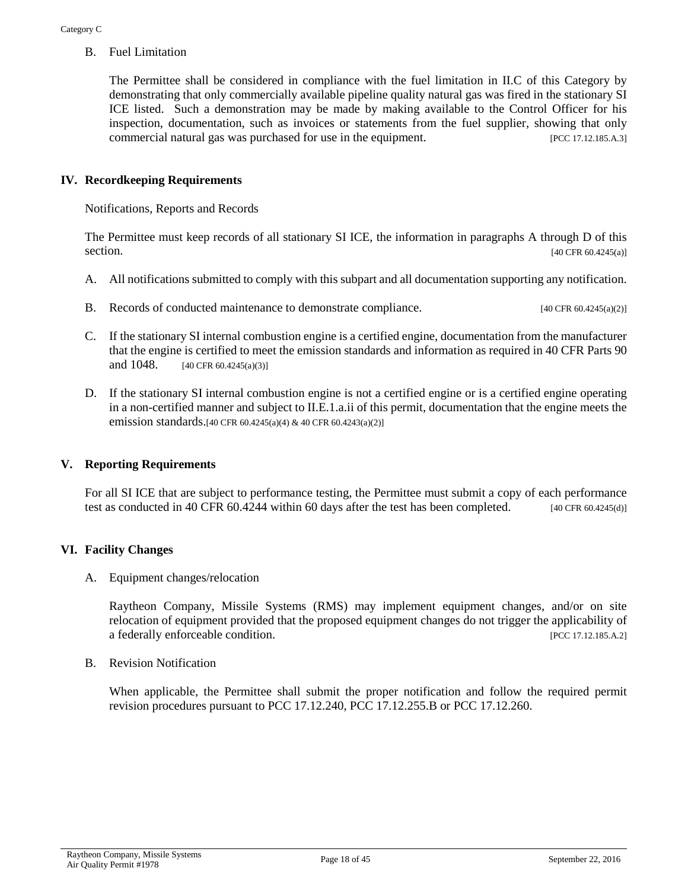B. Fuel Limitation

The Permittee shall be considered in compliance with the fuel limitation in II.C of this Category by demonstrating that only commercially available pipeline quality natural gas was fired in the stationary SI ICE listed. Such a demonstration may be made by making available to the Control Officer for his inspection, documentation, such as invoices or statements from the fuel supplier, showing that only commercial natural gas was purchased for use in the equipment. [PCC 17.12.185.A.3]

#### **IV. Recordkeeping Requirements**

Notifications, Reports and Records

The Permittee must keep records of all stationary SI ICE, the information in paragraphs A through D of this section. [40 CFR 60.4245(a)]

- A. All notifications submitted to comply with this subpart and all documentation supporting any notification.
- B. Records of conducted maintenance to demonstrate compliance. [40 CFR 60.4245(a)(2)]
- C. If the stationary SI internal combustion engine is a certified engine, documentation from the manufacturer that the engine is certified to meet the emission standards and information as required in 40 CFR Parts 90 and 1048. [40 CFR 60.4245(a)(3)]
- D. If the stationary SI internal combustion engine is not a certified engine or is a certified engine operating in a non-certified manner and subject to II.E.1.a.ii of this permit, documentation that the engine meets the emission standards.[40 CFR 60.4245(a)(4) & 40 CFR 60.4243(a)(2)]

#### **V. Reporting Requirements**

For all SI ICE that are subject to performance testing, the Permittee must submit a copy of each performance test as conducted in 40 CFR 60.4244 within 60 days after the test has been completed. [40 CFR 60.4245(d)]

#### **VI. Facility Changes**

A. Equipment changes/relocation

Raytheon Company, Missile Systems (RMS) may implement equipment changes, and/or on site relocation of equipment provided that the proposed equipment changes do not trigger the applicability of a federally enforceable condition. [PCC 17.12.185.A.2]

B. Revision Notification

When applicable, the Permittee shall submit the proper notification and follow the required permit revision procedures pursuant to PCC 17.12.240, PCC 17.12.255.B or PCC 17.12.260.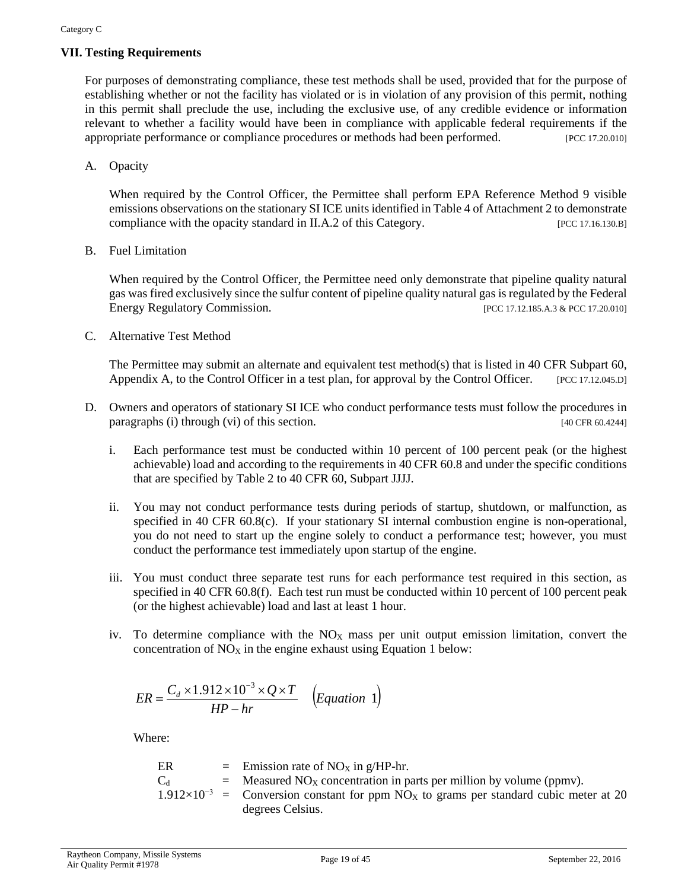#### **VII. Testing Requirements**

For purposes of demonstrating compliance, these test methods shall be used, provided that for the purpose of establishing whether or not the facility has violated or is in violation of any provision of this permit, nothing in this permit shall preclude the use, including the exclusive use, of any credible evidence or information relevant to whether a facility would have been in compliance with applicable federal requirements if the appropriate performance or compliance procedures or methods had been performed. [PCC 17.20.010]

A. Opacity

When required by the Control Officer, the Permittee shall perform EPA Reference Method 9 visible emissions observations on the stationary SI ICE units identified in Table 4 of Attachment 2 to demonstrate compliance with the opacity standard in II.A.2 of this Category. [PCC 17.16.130.B]

B. Fuel Limitation

When required by the Control Officer, the Permittee need only demonstrate that pipeline quality natural gas was fired exclusively since the sulfur content of pipeline quality natural gas is regulated by the Federal Energy Regulatory Commission. [PCC 17.12.185.A.3 & PCC 17.20.010]

C. Alternative Test Method

The Permittee may submit an alternate and equivalent test method(s) that is listed in 40 CFR Subpart 60, Appendix A, to the Control Officer in a test plan, for approval by the Control Officer. [PCC 17.12.045.D]

- D. Owners and operators of stationary SI ICE who conduct performance tests must follow the procedures in paragraphs (i) through (vi) of this section. [40 CFR 60.4244]
	- i. Each performance test must be conducted within 10 percent of 100 percent peak (or the highest achievable) load and according to the requirements in 40 CFR 60.8 and under the specific conditions that are specified by Table 2 to 40 CFR 60, Subpart JJJJ.
	- ii. You may not conduct performance tests during periods of startup, shutdown, or malfunction, as specified in 40 CFR 60.8(c). If your stationary SI internal combustion engine is non-operational, you do not need to start up the engine solely to conduct a performance test; however, you must conduct the performance test immediately upon startup of the engine.
	- iii. You must conduct three separate test runs for each performance test required in this section, as specified in 40 CFR 60.8(f). Each test run must be conducted within 10 percent of 100 percent peak (or the highest achievable) load and last at least 1 hour.
	- iv. To determine compliance with the  $NO<sub>X</sub>$  mass per unit output emission limitation, convert the concentration of  $NO<sub>X</sub>$  in the engine exhaust using Equation 1 below:

$$
ER = \frac{C_d \times 1.912 \times 10^{-3} \times Q \times T}{HP - hr} \quad (Equation 1)
$$

Where:

| ER      | = Emission rate of NO <sub>X</sub> in g/HP-hr.                                                               |
|---------|--------------------------------------------------------------------------------------------------------------|
| $C_{d}$ | $=$ Measured NO <sub>X</sub> concentration in parts per million by volume (ppmv).                            |
|         | $1.912 \times 10^{-3}$ = Conversion constant for ppm NO <sub>x</sub> to grams per standard cubic meter at 20 |
|         | degrees Celsius.                                                                                             |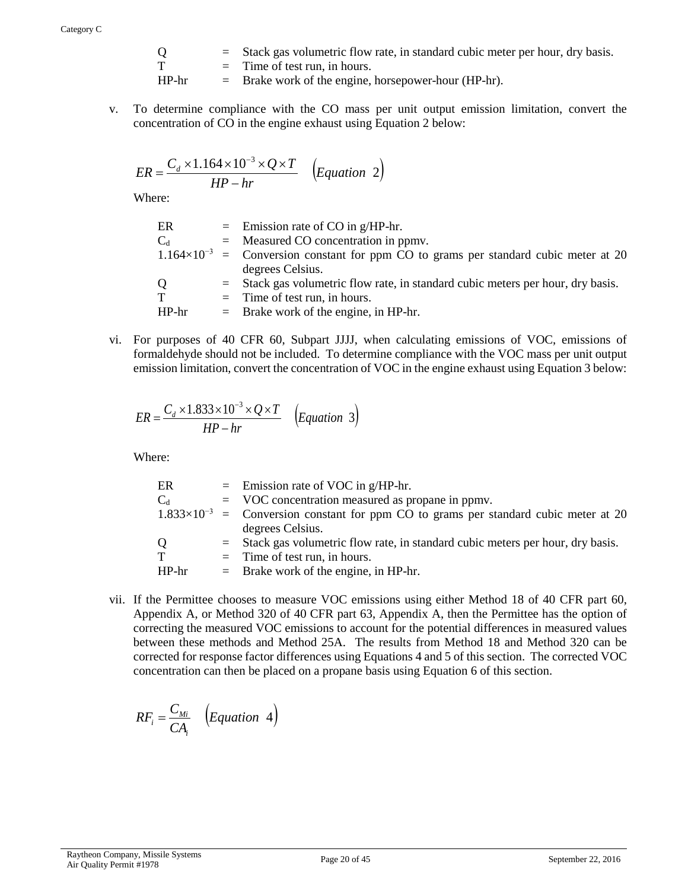| О     | $=$ Stack gas volumetric flow rate, in standard cubic meter per hour, dry basis. |
|-------|----------------------------------------------------------------------------------|
|       | $=$ Time of test run, in hours.                                                  |
| HP-hr | $=$ Brake work of the engine, horsepower-hour (HP-hr).                           |

v. To determine compliance with the CO mass per unit output emission limitation, convert the concentration of CO in the engine exhaust using Equation 2 below:

$$
ER = \frac{C_d \times 1.164 \times 10^{-3} \times Q \times T}{HP - hr} \quad \left( Equation \quad 2 \right)
$$

Where:

| ER                      | $=$ Emission rate of CO in g/HP-hr.                                                             |
|-------------------------|-------------------------------------------------------------------------------------------------|
| $\mathrm{C}_\mathrm{d}$ | $=$ Measured CO concentration in ppmv.                                                          |
|                         | $1.164 \times 10^{-3}$ = Conversion constant for ppm CO to grams per standard cubic meter at 20 |
|                         | degrees Celsius.                                                                                |
| Q.                      | $=$ Stack gas volumetric flow rate, in standard cubic meters per hour, dry basis.               |
| T                       | $=$ Time of test run, in hours.                                                                 |
| HP-hr                   | $=$ Brake work of the engine, in HP-hr.                                                         |
|                         |                                                                                                 |

vi. For purposes of 40 CFR 60, Subpart JJJJ, when calculating emissions of VOC, emissions of formaldehyde should not be included. To determine compliance with the VOC mass per unit output emission limitation, convert the concentration of VOC in the engine exhaust using Equation 3 below:

$$
ER = \frac{C_d \times 1.833 \times 10^{-3} \times Q \times T}{HP - hr} \quad \left( Equation \quad 3 \right)
$$

Where:

| ER          | $=$ Emission rate of VOC in g/HP-hr.                                                          |
|-------------|-----------------------------------------------------------------------------------------------|
| $C_d$       | $=$ VOC concentration measured as propane in ppmv.                                            |
|             | $1.833\times10^{-3}$ = Conversion constant for ppm CO to grams per standard cubic meter at 20 |
|             | degrees Celsius.                                                                              |
| Q           | $=$ Stack gas volumetric flow rate, in standard cubic meters per hour, dry basis.             |
| $\mathbf T$ | $=$ Time of test run, in hours.                                                               |
| HP-hr       | $=$ Brake work of the engine, in HP-hr.                                                       |
|             |                                                                                               |

vii. If the Permittee chooses to measure VOC emissions using either Method 18 of 40 CFR part 60, Appendix A, or Method 320 of 40 CFR part 63, Appendix A, then the Permittee has the option of correcting the measured VOC emissions to account for the potential differences in measured values between these methods and Method 25A. The results from Method 18 and Method 320 can be corrected for response factor differences using Equations 4 and 5 of this section. The corrected VOC concentration can then be placed on a propane basis using Equation 6 of this section.

$$
RF_i = \frac{C_{Mi}}{CA_i} \quad \left(Equation \quad 4\right)
$$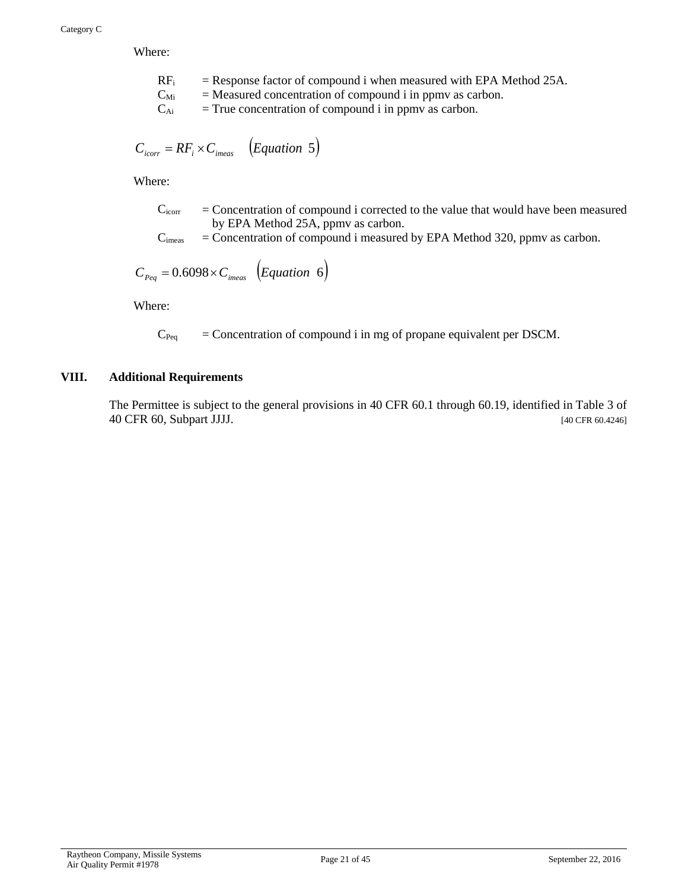Where:

- $RF_i$  = Response factor of compound i when measured with EPA Method 25A.
- $C_{\text{Mi}}$  = Measured concentration of compound i in ppmv as carbon.
- $C_{Ai}$  = True concentration of compound i in ppmv as carbon.

$$
C_{\text{icorr}} = RF_i \times C_{\text{imears}} \quad (Equation \ 5)
$$

Where:

- $C<sub>icorr</sub> = concentration of compound i corrected to the value that would have been measured$ by EPA Method 25A, ppmv as carbon.
- $C<sub>imes</sub>$  = Concentration of compound i measured by EPA Method 320, ppmv as carbon.

$$
C_{Peq} = 0.6098 \times C_{\text{imears}} \left( Equation \ 6 \right)
$$

Where:

 $C_{Peq}$  = Concentration of compound i in mg of propane equivalent per DSCM.

#### **VIII. Additional Requirements**

The Permittee is subject to the general provisions in 40 CFR 60.1 through 60.19, identified in Table 3 of 40 CFR 60, Subpart JJJJ. [40 CFR 60.4246]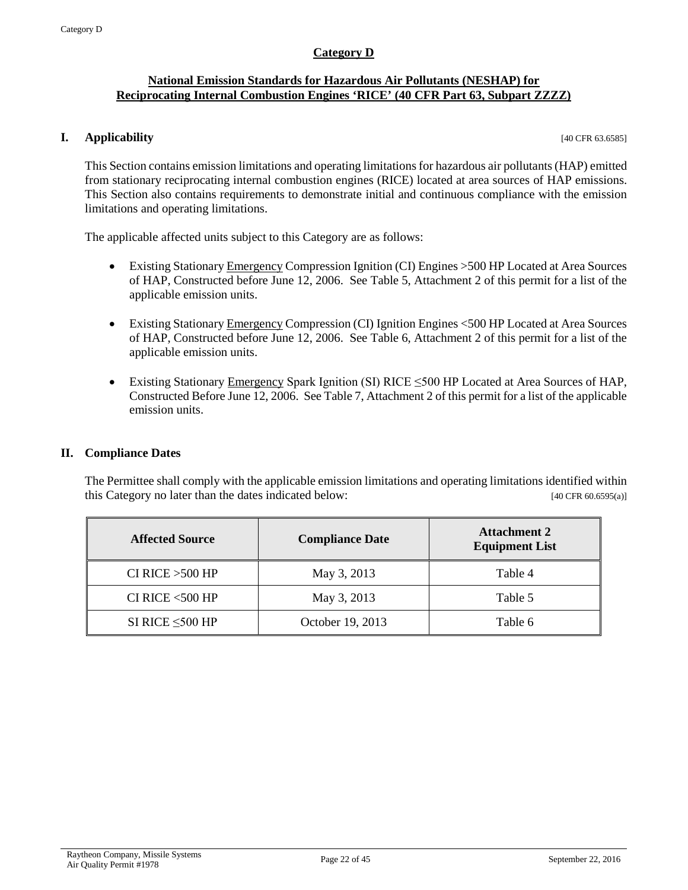#### **Category D**

#### <span id="page-21-0"></span>**National Emission Standards for Hazardous Air Pollutants (NESHAP) for Reciprocating Internal Combustion Engines 'RICE' (40 CFR Part 63, Subpart ZZZZ)**

#### **I. Applicability** [40 CFR 63.6585]

This Section contains emission limitations and operating limitations for hazardous air pollutants (HAP) emitted from stationary reciprocating internal combustion engines (RICE) located at area sources of HAP emissions. This Section also contains requirements to demonstrate initial and continuous compliance with the emission limitations and operating limitations.

The applicable affected units subject to this Category are as follows:

- Existing Stationary Emergency Compression Ignition (CI) Engines >500 HP Located at Area Sources of HAP, Constructed before June 12, 2006. See Table 5, Attachment 2 of this permit for a list of the applicable emission units.
- Existing Stationary Emergency Compression (CI) Ignition Engines <500 HP Located at Area Sources of HAP, Constructed before June 12, 2006. See Table 6, Attachment 2 of this permit for a list of the applicable emission units.
- Existing Stationary Emergency Spark Ignition (SI) RICE ≤500 HP Located at Area Sources of HAP, Constructed Before June 12, 2006. See Table 7, Attachment 2 of this permit for a list of the applicable emission units.

#### **II. Compliance Dates**

The Permittee shall comply with the applicable emission limitations and operating limitations identified within this Category no later than the dates indicated below: [40 CFR 60.6595(a)]

| <b>Affected Source</b> | <b>Compliance Date</b> | <b>Attachment 2</b><br><b>Equipment List</b> |  |  |
|------------------------|------------------------|----------------------------------------------|--|--|
| CI RICE $>500$ HP      | May 3, 2013            | Table 4                                      |  |  |
| CI RICE $<$ 500 HP     | May 3, 2013            | Table 5                                      |  |  |
| SI RICE $\leq$ 500 HP  | October 19, 2013       | Table 6                                      |  |  |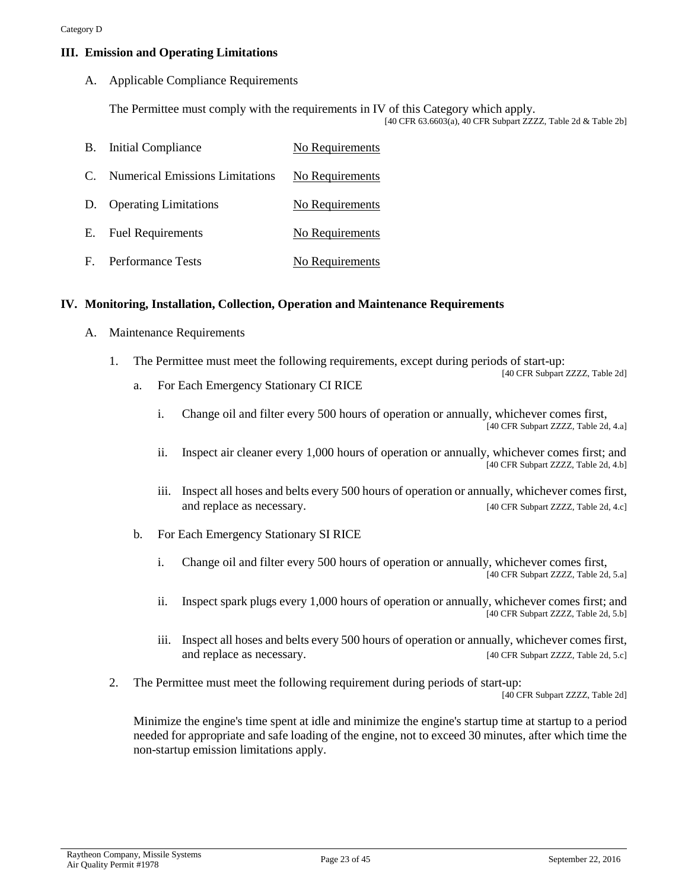#### **III. Emission and Operating Limitations**

A. Applicable Compliance Requirements

The Permittee must comply with the requirements in IV of this Category which apply. [40 CFR 63.6603(a), 40 CFR Subpart ZZZZ, Table 2d & Table 2b]

|    | <b>B.</b> Initial Compliance           | No Requirements |
|----|----------------------------------------|-----------------|
| C. | <b>Numerical Emissions Limitations</b> | No Requirements |
|    | D. Operating Limitations               | No Requirements |
|    | E. Fuel Requirements                   | No Requirements |
|    | F. Performance Tests                   | No Requirements |

#### **IV. Monitoring, Installation, Collection, Operation and Maintenance Requirements**

- A. Maintenance Requirements
	- 1. The Permittee must meet the following requirements, except during periods of start-up: [40 CFR Subpart ZZZZ, Table 2d]
		- a. For Each Emergency Stationary CI RICE
			- i. Change oil and filter every 500 hours of operation or annually, whichever comes first, [40 CFR Subpart ZZZZ, Table 2d, 4.a]
			- ii. Inspect air cleaner every 1,000 hours of operation or annually, whichever comes first; and [40 CFR Subpart ZZZZ, Table 2d, 4.b]
			- iii. Inspect all hoses and belts every 500 hours of operation or annually, whichever comes first, and replace as necessary. [40 CFR Subpart ZZZZ, Table 2d, 4.c]
		- b. For Each Emergency Stationary SI RICE
			- i. Change oil and filter every 500 hours of operation or annually, whichever comes first, [40 CFR Subpart ZZZZ, Table 2d, 5.a]
			- ii. Inspect spark plugs every 1,000 hours of operation or annually, whichever comes first; and [40 CFR Subpart ZZZZ, Table 2d, 5.b]
			- iii. Inspect all hoses and belts every 500 hours of operation or annually, whichever comes first, and replace as necessary. [40 CFR Subpart ZZZZ, Table 2d, 5.c]
	- 2. The Permittee must meet the following requirement during periods of start-up:

[40 CFR Subpart ZZZZ, Table 2d]

Minimize the engine's time spent at idle and minimize the engine's startup time at startup to a period needed for appropriate and safe loading of the engine, not to exceed 30 minutes, after which time the non-startup emission limitations apply.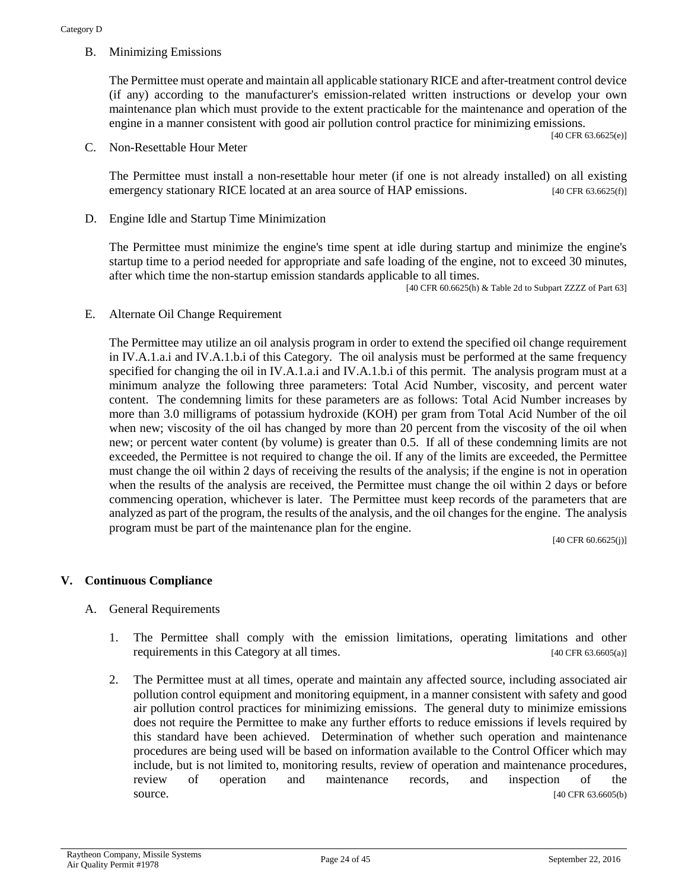B. Minimizing Emissions

The Permittee must operate and maintain all applicable stationary RICE and after-treatment control device (if any) according to the manufacturer's emission-related written instructions or develop your own maintenance plan which must provide to the extent practicable for the maintenance and operation of the engine in a manner consistent with good air pollution control practice for minimizing emissions.

[40 CFR 63.6625(e)]

C. Non-Resettable Hour Meter

The Permittee must install a non-resettable hour meter (if one is not already installed) on all existing emergency stationary RICE located at an area source of HAP emissions. [40 CFR 63.6625(f)]

D. Engine Idle and Startup Time Minimization

The Permittee must minimize the engine's time spent at idle during startup and minimize the engine's startup time to a period needed for appropriate and safe loading of the engine, not to exceed 30 minutes, after which time the non-startup emission standards applicable to all times.

[40 CFR 60.6625(h) & Table 2d to Subpart ZZZZ of Part 63]

E. Alternate Oil Change Requirement

The Permittee may utilize an oil analysis program in order to extend the specified oil change requirement in IV.A.1.a.i and IV.A.1.b.i of this Category. The oil analysis must be performed at the same frequency specified for changing the oil in IV.A.1.a.i and IV.A.1.b.i of this permit. The analysis program must at a minimum analyze the following three parameters: Total Acid Number, viscosity, and percent water content. The condemning limits for these parameters are as follows: Total Acid Number increases by more than 3.0 milligrams of potassium hydroxide (KOH) per gram from Total Acid Number of the oil when new; viscosity of the oil has changed by more than 20 percent from the viscosity of the oil when new; or percent water content (by volume) is greater than 0.5. If all of these condemning limits are not exceeded, the Permittee is not required to change the oil. If any of the limits are exceeded, the Permittee must change the oil within 2 days of receiving the results of the analysis; if the engine is not in operation when the results of the analysis are received, the Permittee must change the oil within 2 days or before commencing operation, whichever is later. The Permittee must keep records of the parameters that are analyzed as part of the program, the results of the analysis, and the oil changes for the engine. The analysis program must be part of the maintenance plan for the engine.

[40 CFR 60.6625(j)]

#### **V. Continuous Compliance**

- A. General Requirements
	- 1. The Permittee shall comply with the emission limitations, operating limitations and other requirements in this Category at all times. [40 CFR 63.6605(a)]
	- 2. The Permittee must at all times, operate and maintain any affected source, including associated air pollution control equipment and monitoring equipment, in a manner consistent with safety and good air pollution control practices for minimizing emissions. The general duty to minimize emissions does not require the Permittee to make any further efforts to reduce emissions if levels required by this standard have been achieved. Determination of whether such operation and maintenance procedures are being used will be based on information available to the Control Officer which may include, but is not limited to, monitoring results, review of operation and maintenance procedures, review of operation and maintenance records, and inspection of the source. [40 CFR 63.6605(b)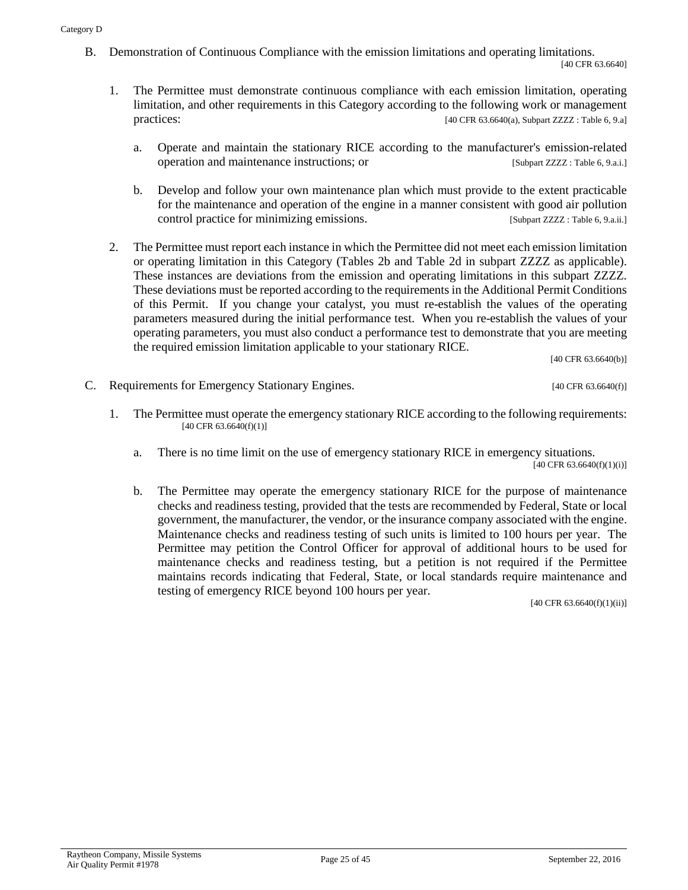B. Demonstration of Continuous Compliance with the emission limitations and operating limitations.

[40 CFR 63.6640]

- 1. The Permittee must demonstrate continuous compliance with each emission limitation, operating limitation, and other requirements in this Category according to the following work or management practices: [40 CFR 63.6640(a), Subpart ZZZZ : Table 6, 9.a]
	- a. Operate and maintain the stationary RICE according to the manufacturer's emission-related operation and maintenance instructions; or [Subpart ZZZZ : Table 6, 9.a.i.]
	- b. Develop and follow your own maintenance plan which must provide to the extent practicable for the maintenance and operation of the engine in a manner consistent with good air pollution control practice for minimizing emissions. [Subpart ZZZZ : Table 6, 9.a.ii.]
- 2. The Permittee must report each instance in which the Permittee did not meet each emission limitation or operating limitation in this Category (Tables 2b and Table 2d in subpart ZZZZ as applicable). These instances are deviations from the emission and operating limitations in this subpart ZZZZ. These deviations must be reported according to the requirements in the Additional Permit Conditions of this Permit. If you change your catalyst, you must re-establish the values of the operating parameters measured during the initial performance test. When you re-establish the values of your operating parameters, you must also conduct a performance test to demonstrate that you are meeting the required emission limitation applicable to your stationary RICE.

[40 CFR 63.6640(b)]

- C. Requirements for Emergency Stationary Engines. [40 CFR 63.6640(f)]
	- 1. The Permittee must operate the emergency stationary RICE according to the following requirements:  $[40 \text{ CFR } 63.6640(f)(1)]$ 
		- a. There is no time limit on the use of emergency stationary RICE in emergency situations.

 $[40 \text{ CFR } 63.6640(f)(1)(i)]$ 

b. The Permittee may operate the emergency stationary RICE for the purpose of maintenance checks and readiness testing, provided that the tests are recommended by Federal, State or local government, the manufacturer, the vendor, or the insurance company associated with the engine. Maintenance checks and readiness testing of such units is limited to 100 hours per year. The Permittee may petition the Control Officer for approval of additional hours to be used for maintenance checks and readiness testing, but a petition is not required if the Permittee maintains records indicating that Federal, State, or local standards require maintenance and testing of emergency RICE beyond 100 hours per year.

[40 CFR 63.6640(f)(1)(ii)]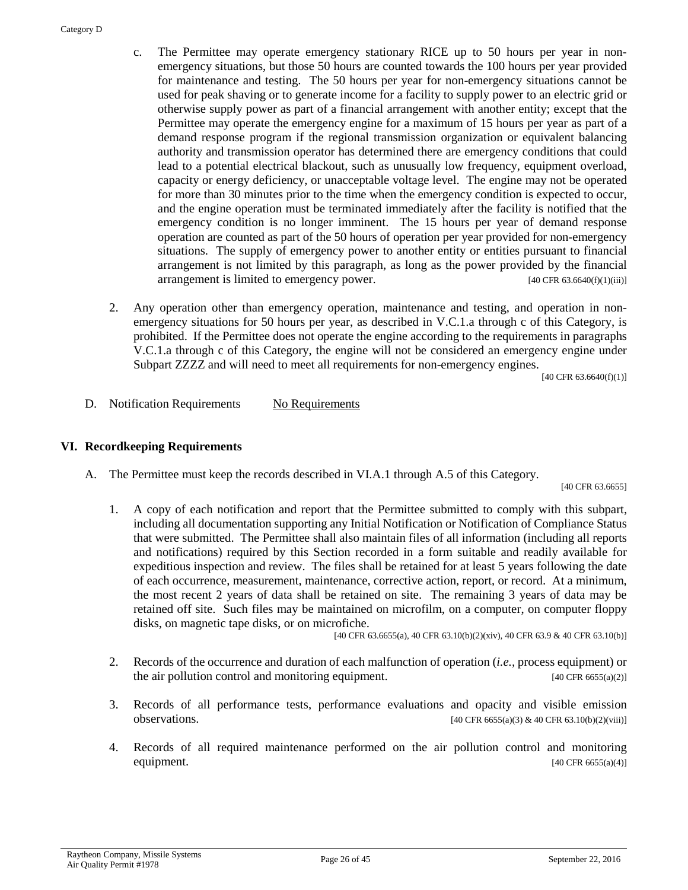- c. The Permittee may operate emergency stationary RICE up to 50 hours per year in nonemergency situations, but those 50 hours are counted towards the 100 hours per year provided for maintenance and testing. The 50 hours per year for non-emergency situations cannot be used for peak shaving or to generate income for a facility to supply power to an electric grid or otherwise supply power as part of a financial arrangement with another entity; except that the Permittee may operate the emergency engine for a maximum of 15 hours per year as part of a demand response program if the regional transmission organization or equivalent balancing authority and transmission operator has determined there are emergency conditions that could lead to a potential electrical blackout, such as unusually low frequency, equipment overload, capacity or energy deficiency, or unacceptable voltage level. The engine may not be operated for more than 30 minutes prior to the time when the emergency condition is expected to occur, and the engine operation must be terminated immediately after the facility is notified that the emergency condition is no longer imminent. The 15 hours per year of demand response operation are counted as part of the 50 hours of operation per year provided for non-emergency situations. The supply of emergency power to another entity or entities pursuant to financial arrangement is not limited by this paragraph, as long as the power provided by the financial arrangement is limited to emergency power. [40 CFR 63.6640(f)(1)(iii)]
- 2. Any operation other than emergency operation, maintenance and testing, and operation in nonemergency situations for 50 hours per year, as described in V.C.1.a through c of this Category, is prohibited. If the Permittee does not operate the engine according to the requirements in paragraphs V.C.1.a through c of this Category, the engine will not be considered an emergency engine under Subpart ZZZZ and will need to meet all requirements for non-emergency engines.

 $[40 \text{ CFR } 63.6640(f)(1)]$ 

D. Notification Requirements No Requirements

#### **VI. Recordkeeping Requirements**

A. The Permittee must keep the records described in VI.A.1 through A.5 of this Category.

[40 CFR 63.6655]

1. A copy of each notification and report that the Permittee submitted to comply with this subpart, including all documentation supporting any Initial Notification or Notification of Compliance Status that were submitted. The Permittee shall also maintain files of all information (including all reports and notifications) required by this Section recorded in a form suitable and readily available for expeditious inspection and review. The files shall be retained for at least 5 years following the date of each occurrence, measurement, maintenance, corrective action, report, or record. At a minimum, the most recent 2 years of data shall be retained on site. The remaining 3 years of data may be retained off site. Such files may be maintained on microfilm, on a computer, on computer floppy disks, on magnetic tape disks, or on microfiche.

[40 CFR 63.6655(a), 40 CFR 63.10(b)(2)(xiv), 40 CFR 63.9 & 40 CFR 63.10(b)]

- 2. Records of the occurrence and duration of each malfunction of operation (*i.e.,* process equipment) or the air pollution control and monitoring equipment.  $[40 \text{ CFR } 6655(a/2)]$
- 3. Records of all performance tests, performance evaluations and opacity and visible emission **observations.** [40 CFR 6655(a)(3) & 40 CFR 63.10(b)(2)(viii)]
- 4. Records of all required maintenance performed on the air pollution control and monitoring equipment.  $[40 \text{ CFR } 6655(a)(4)]$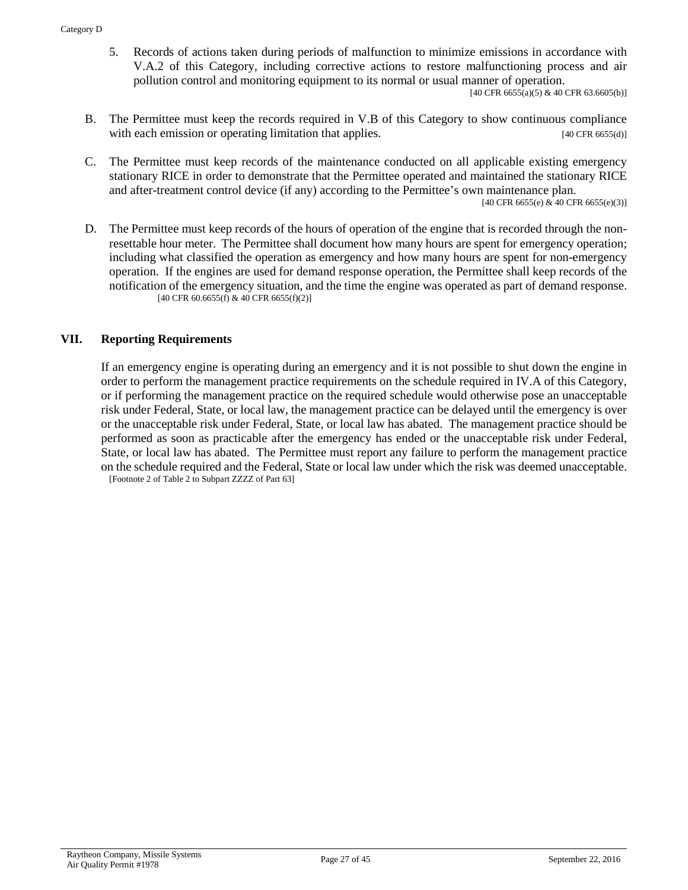5. Records of actions taken during periods of malfunction to minimize emissions in accordance with V.A.2 of this Category, including corrective actions to restore malfunctioning process and air pollution control and monitoring equipment to its normal or usual manner of operation.

 $[40 \text{ CFR } 6655(a)(5) \& 40 \text{ CFR } 63.6605(b)]$ 

- B. The Permittee must keep the records required in V.B of this Category to show continuous compliance with each emission or operating limitation that applies. [40 CFR 6655(d)]
- C. The Permittee must keep records of the maintenance conducted on all applicable existing emergency stationary RICE in order to demonstrate that the Permittee operated and maintained the stationary RICE and after-treatment control device (if any) according to the Permittee's own maintenance plan.

[40 CFR 6655(e) & 40 CFR 6655(e)(3)]

D. The Permittee must keep records of the hours of operation of the engine that is recorded through the nonresettable hour meter. The Permittee shall document how many hours are spent for emergency operation; including what classified the operation as emergency and how many hours are spent for non-emergency operation. If the engines are used for demand response operation, the Permittee shall keep records of the notification of the emergency situation, and the time the engine was operated as part of demand response.  $[40 \text{ CFR } 60.6655 \text{ (f)} \& 40 \text{ CFR } 6655 \text{ (f)} \text{ (2)}]$ 

#### **VII. Reporting Requirements**

If an emergency engine is operating during an emergency and it is not possible to shut down the engine in order to perform the management practice requirements on the schedule required in IV.A of this Category, or if performing the management practice on the required schedule would otherwise pose an unacceptable risk under Federal, State, or local law, the management practice can be delayed until the emergency is over or the unacceptable risk under Federal, State, or local law has abated. The management practice should be performed as soon as practicable after the emergency has ended or the unacceptable risk under Federal, State, or local law has abated. The Permittee must report any failure to perform the management practice on the schedule required and the Federal, State or local law under which the risk was deemed unacceptable. [Footnote 2 of Table 2 to Subpart ZZZZ of Part 63]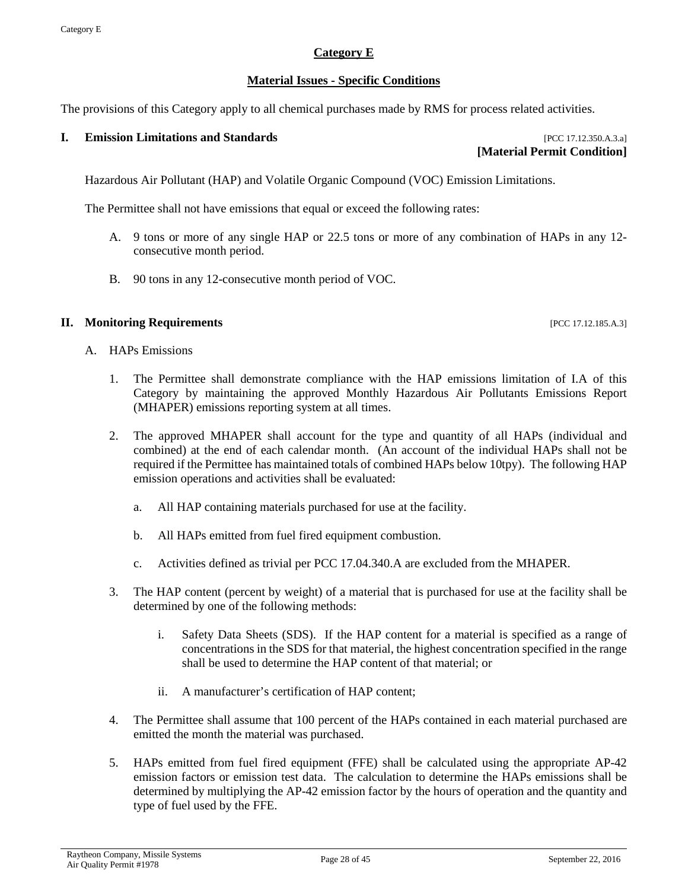#### **Category E**

#### **Material Issues - Specific Conditions**

<span id="page-27-0"></span>The provisions of this Category apply to all chemical purchases made by RMS for process related activities.

#### **I. Emission Limitations and Standards** [PCC 17.12.350.A.3.a]

**[Material Permit Condition]**

Hazardous Air Pollutant (HAP) and Volatile Organic Compound (VOC) Emission Limitations.

The Permittee shall not have emissions that equal or exceed the following rates:

- A. 9 tons or more of any single HAP or 22.5 tons or more of any combination of HAPs in any 12 consecutive month period.
- B. 90 tons in any 12-consecutive month period of VOC.

#### **II. Monitoring Requirements in the sequence of the sequence of the sequence of the sequence of the sequence of the sequence of the sequence of the sequence of the sequence of the sequence of the sequence of the sequence**

- A. HAPs Emissions
	- 1. The Permittee shall demonstrate compliance with the HAP emissions limitation of I.A of this Category by maintaining the approved Monthly Hazardous Air Pollutants Emissions Report (MHAPER) emissions reporting system at all times.
	- 2. The approved MHAPER shall account for the type and quantity of all HAPs (individual and combined) at the end of each calendar month. (An account of the individual HAPs shall not be required if the Permittee has maintained totals of combined HAPs below 10tpy). The following HAP emission operations and activities shall be evaluated:
		- a. All HAP containing materials purchased for use at the facility.
		- b. All HAPs emitted from fuel fired equipment combustion.
		- c. Activities defined as trivial per PCC 17.04.340.A are excluded from the MHAPER.
	- 3. The HAP content (percent by weight) of a material that is purchased for use at the facility shall be determined by one of the following methods:
		- i. Safety Data Sheets (SDS). If the HAP content for a material is specified as a range of concentrations in the SDS for that material, the highest concentration specified in the range shall be used to determine the HAP content of that material; or
		- ii. A manufacturer's certification of HAP content;
	- 4. The Permittee shall assume that 100 percent of the HAPs contained in each material purchased are emitted the month the material was purchased.
	- 5. HAPs emitted from fuel fired equipment (FFE) shall be calculated using the appropriate AP-42 emission factors or emission test data. The calculation to determine the HAPs emissions shall be determined by multiplying the AP-42 emission factor by the hours of operation and the quantity and type of fuel used by the FFE.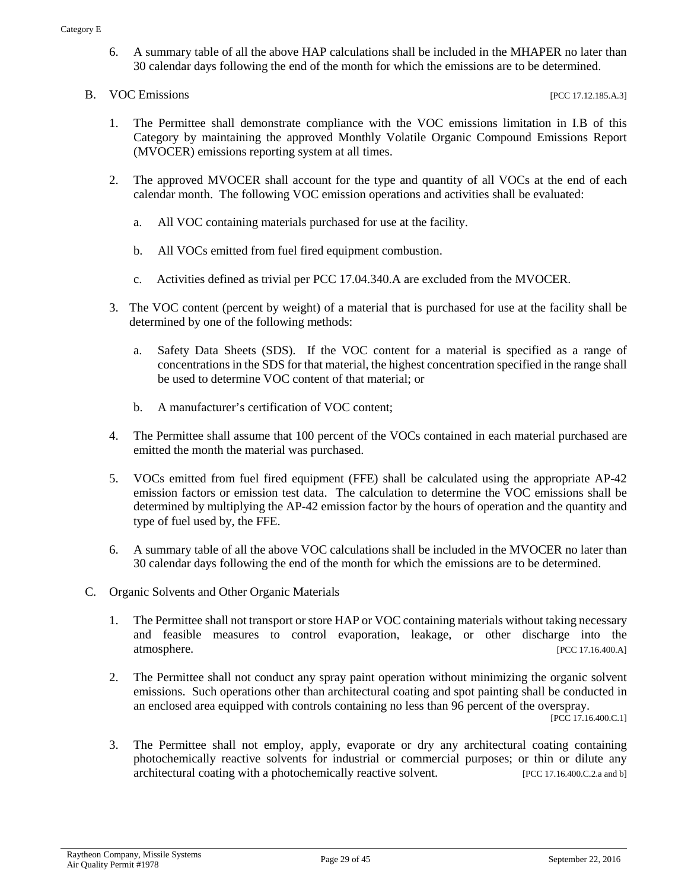- 6. A summary table of all the above HAP calculations shall be included in the MHAPER no later than 30 calendar days following the end of the month for which the emissions are to be determined.
- B. VOC Emissions [PCC 17.12.185.A.3]

- 1. The Permittee shall demonstrate compliance with the VOC emissions limitation in I.B of this Category by maintaining the approved Monthly Volatile Organic Compound Emissions Report (MVOCER) emissions reporting system at all times.
- 2. The approved MVOCER shall account for the type and quantity of all VOCs at the end of each calendar month. The following VOC emission operations and activities shall be evaluated:
	- a. All VOC containing materials purchased for use at the facility.
	- b. All VOCs emitted from fuel fired equipment combustion.
	- c. Activities defined as trivial per PCC 17.04.340.A are excluded from the MVOCER.
- 3. The VOC content (percent by weight) of a material that is purchased for use at the facility shall be determined by one of the following methods:
	- a. Safety Data Sheets (SDS). If the VOC content for a material is specified as a range of concentrations in the SDS for that material, the highest concentration specified in the range shall be used to determine VOC content of that material; or
	- b. A manufacturer's certification of VOC content;
- 4. The Permittee shall assume that 100 percent of the VOCs contained in each material purchased are emitted the month the material was purchased.
- 5. VOCs emitted from fuel fired equipment (FFE) shall be calculated using the appropriate AP-42 emission factors or emission test data. The calculation to determine the VOC emissions shall be determined by multiplying the AP-42 emission factor by the hours of operation and the quantity and type of fuel used by, the FFE.
- 6. A summary table of all the above VOC calculations shall be included in the MVOCER no later than 30 calendar days following the end of the month for which the emissions are to be determined.
- C. Organic Solvents and Other Organic Materials
	- 1. The Permittee shall not transport or store HAP or VOC containing materials without taking necessary and feasible measures to control evaporation, leakage, or other discharge into the atmosphere. [PCC 17.16.400.A]
	- 2. The Permittee shall not conduct any spray paint operation without minimizing the organic solvent emissions. Such operations other than architectural coating and spot painting shall be conducted in an enclosed area equipped with controls containing no less than 96 percent of the overspray.

[PCC 17.16.400.C.1]

3. The Permittee shall not employ, apply, evaporate or dry any architectural coating containing photochemically reactive solvents for industrial or commercial purposes; or thin or dilute any architectural coating with a photochemically reactive solvent. [PCC 17.16.400.C.2.a and b]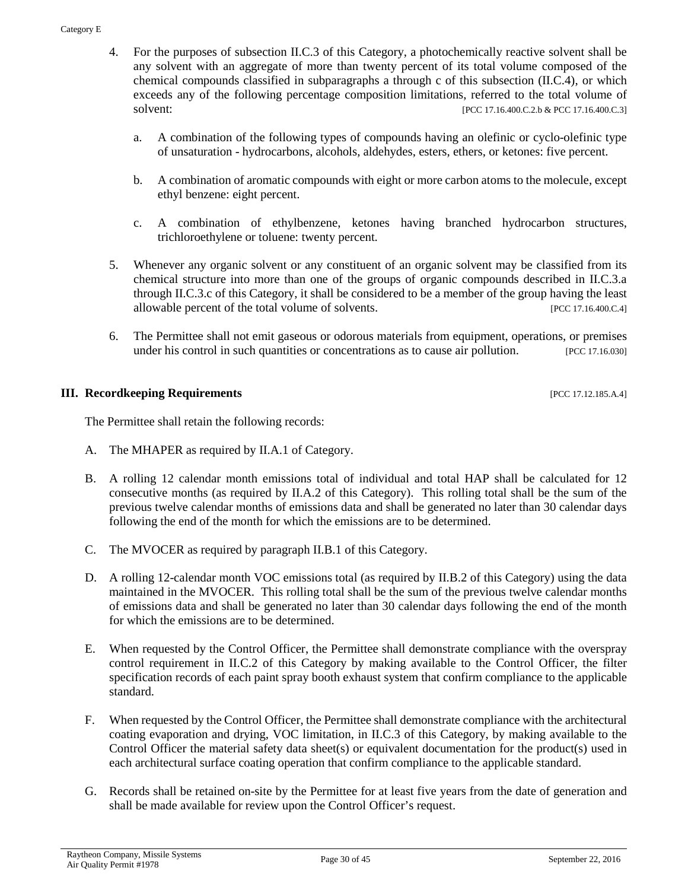- 4. For the purposes of subsection II.C.3 of this Category, a photochemically reactive solvent shall be any solvent with an aggregate of more than twenty percent of its total volume composed of the chemical compounds classified in subparagraphs a through c of this subsection (II.C.4), or which exceeds any of the following percentage composition limitations, referred to the total volume of solvent: [PCC 17.16.400.C.2.b & PCC 17.16.400.C.3]
	- a. A combination of the following types of compounds having an olefinic or cyclo-olefinic type of unsaturation - hydrocarbons, alcohols, aldehydes, esters, ethers, or ketones: five percent.
	- b. A combination of aromatic compounds with eight or more carbon atoms to the molecule, except ethyl benzene: eight percent.
	- c. A combination of ethylbenzene, ketones having branched hydrocarbon structures, trichloroethylene or toluene: twenty percent.
- 5. Whenever any organic solvent or any constituent of an organic solvent may be classified from its chemical structure into more than one of the groups of organic compounds described in II.C.3.a through II.C.3.c of this Category, it shall be considered to be a member of the group having the least allowable percent of the total volume of solvents. [PCC 17.16.400.C.4]
- 6. The Permittee shall not emit gaseous or odorous materials from equipment, operations, or premises under his control in such quantities or concentrations as to cause air pollution. [PCC 17.16.030]

#### **III. Recordkeeping Requirements** [PCC 17.12.185.A.4]

The Permittee shall retain the following records:

- A. The MHAPER as required by II.A.1 of Category.
- B. A rolling 12 calendar month emissions total of individual and total HAP shall be calculated for 12 consecutive months (as required by II.A.2 of this Category). This rolling total shall be the sum of the previous twelve calendar months of emissions data and shall be generated no later than 30 calendar days following the end of the month for which the emissions are to be determined.
- C. The MVOCER as required by paragraph II.B.1 of this Category.
- D. A rolling 12-calendar month VOC emissions total (as required by II.B.2 of this Category) using the data maintained in the MVOCER. This rolling total shall be the sum of the previous twelve calendar months of emissions data and shall be generated no later than 30 calendar days following the end of the month for which the emissions are to be determined.
- E. When requested by the Control Officer, the Permittee shall demonstrate compliance with the overspray control requirement in II.C.2 of this Category by making available to the Control Officer, the filter specification records of each paint spray booth exhaust system that confirm compliance to the applicable standard.
- F. When requested by the Control Officer, the Permittee shall demonstrate compliance with the architectural coating evaporation and drying, VOC limitation, in II.C.3 of this Category, by making available to the Control Officer the material safety data sheet(s) or equivalent documentation for the product(s) used in each architectural surface coating operation that confirm compliance to the applicable standard.
- G. Records shall be retained on-site by the Permittee for at least five years from the date of generation and shall be made available for review upon the Control Officer's request.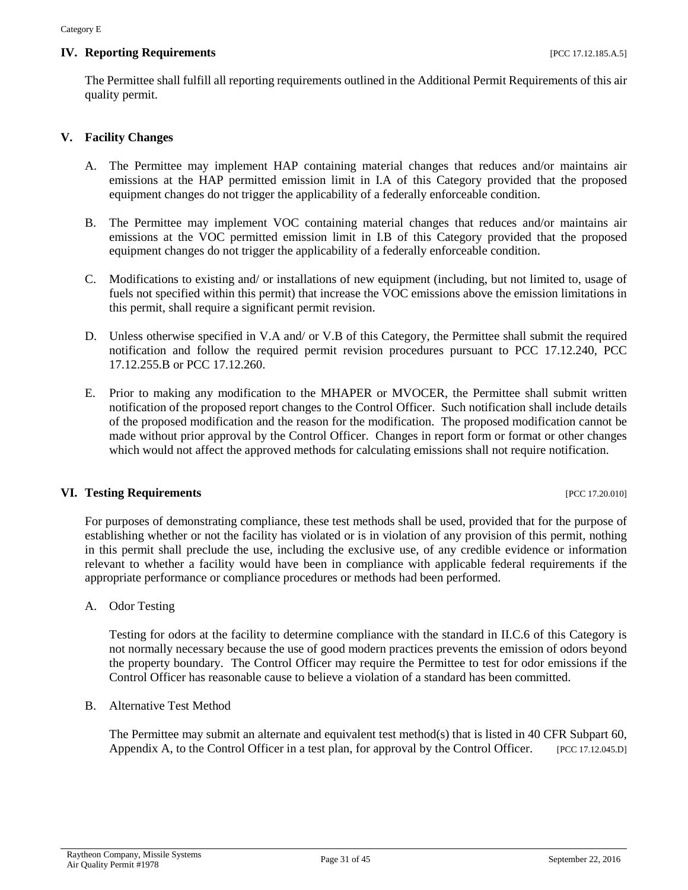#### **IV. Reporting Requirements IPCC 17.12.185.A.5**]

The Permittee shall fulfill all reporting requirements outlined in the Additional Permit Requirements of this air quality permit.

#### **V. Facility Changes**

- A. The Permittee may implement HAP containing material changes that reduces and/or maintains air emissions at the HAP permitted emission limit in I.A of this Category provided that the proposed equipment changes do not trigger the applicability of a federally enforceable condition.
- B. The Permittee may implement VOC containing material changes that reduces and/or maintains air emissions at the VOC permitted emission limit in I.B of this Category provided that the proposed equipment changes do not trigger the applicability of a federally enforceable condition.
- C. Modifications to existing and/ or installations of new equipment (including, but not limited to, usage of fuels not specified within this permit) that increase the VOC emissions above the emission limitations in this permit, shall require a significant permit revision.
- D. Unless otherwise specified in V.A and/ or V.B of this Category, the Permittee shall submit the required notification and follow the required permit revision procedures pursuant to PCC 17.12.240, PCC 17.12.255.B or PCC 17.12.260.
- E. Prior to making any modification to the MHAPER or MVOCER, the Permittee shall submit written notification of the proposed report changes to the Control Officer. Such notification shall include details of the proposed modification and the reason for the modification. The proposed modification cannot be made without prior approval by the Control Officer. Changes in report form or format or other changes which would not affect the approved methods for calculating emissions shall not require notification.

#### **VI. Testing Requirements** [PCC 17.20.010]

For purposes of demonstrating compliance, these test methods shall be used, provided that for the purpose of establishing whether or not the facility has violated or is in violation of any provision of this permit, nothing in this permit shall preclude the use, including the exclusive use, of any credible evidence or information relevant to whether a facility would have been in compliance with applicable federal requirements if the appropriate performance or compliance procedures or methods had been performed.

A. Odor Testing

Testing for odors at the facility to determine compliance with the standard in II.C.6 of this Category is not normally necessary because the use of good modern practices prevents the emission of odors beyond the property boundary. The Control Officer may require the Permittee to test for odor emissions if the Control Officer has reasonable cause to believe a violation of a standard has been committed.

B. Alternative Test Method

The Permittee may submit an alternate and equivalent test method(s) that is listed in 40 CFR Subpart 60, Appendix A, to the Control Officer in a test plan, for approval by the Control Officer. [PCC 17.12.045.D]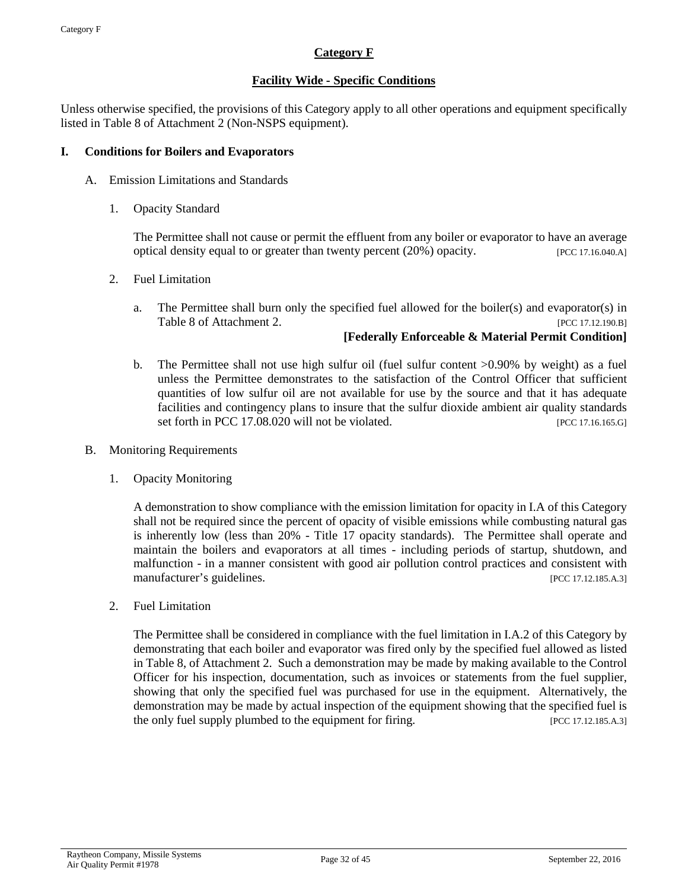#### **Category F**

#### **Facility Wide - Specific Conditions**

<span id="page-31-0"></span>Unless otherwise specified, the provisions of this Category apply to all other operations and equipment specifically listed in Table 8 of Attachment 2 (Non-NSPS equipment).

#### **I. Conditions for Boilers and Evaporators**

- A. Emission Limitations and Standards
	- 1. Opacity Standard

The Permittee shall not cause or permit the effluent from any boiler or evaporator to have an average optical density equal to or greater than twenty percent (20%) opacity. [PCC 17.16.040.A]

- 2. Fuel Limitation
	- a. The Permittee shall burn only the specified fuel allowed for the boiler(s) and evaporator(s) in Table 8 of Attachment 2. [PCC 17.12.190.B]

#### **[Federally Enforceable & Material Permit Condition]**

- b. The Permittee shall not use high sulfur oil (fuel sulfur content >0.90% by weight) as a fuel unless the Permittee demonstrates to the satisfaction of the Control Officer that sufficient quantities of low sulfur oil are not available for use by the source and that it has adequate facilities and contingency plans to insure that the sulfur dioxide ambient air quality standards set forth in PCC 17.08.020 will not be violated. [PCC 17.16.165.G]
- B. Monitoring Requirements
	- 1. Opacity Monitoring

A demonstration to show compliance with the emission limitation for opacity in I.A of this Category shall not be required since the percent of opacity of visible emissions while combusting natural gas is inherently low (less than 20% - Title 17 opacity standards). The Permittee shall operate and maintain the boilers and evaporators at all times - including periods of startup, shutdown, and malfunction - in a manner consistent with good air pollution control practices and consistent with manufacturer's guidelines. [PCC 17.12.185.A.3]

2. Fuel Limitation

The Permittee shall be considered in compliance with the fuel limitation in I.A.2 of this Category by demonstrating that each boiler and evaporator was fired only by the specified fuel allowed as listed in Table 8, of Attachment 2. Such a demonstration may be made by making available to the Control Officer for his inspection, documentation, such as invoices or statements from the fuel supplier, showing that only the specified fuel was purchased for use in the equipment. Alternatively, the demonstration may be made by actual inspection of the equipment showing that the specified fuel is the only fuel supply plumbed to the equipment for firing. [PCC 17.12.185.A.3]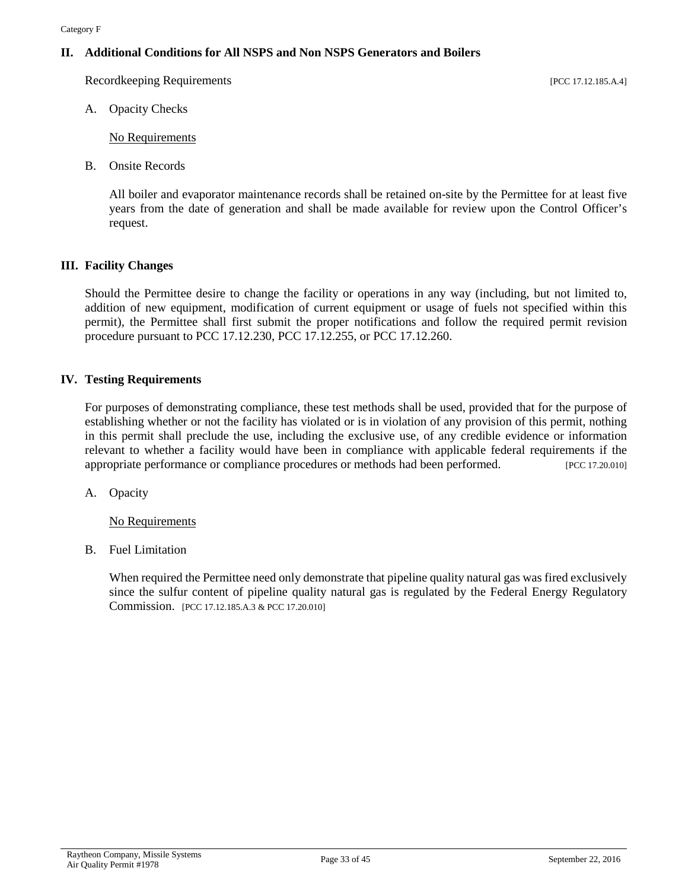#### **II. Additional Conditions for All NSPS and Non NSPS Generators and Boilers**

Recordkeeping Requirements [PCC 17.12.185.A.4]

A. Opacity Checks

No Requirements

B. Onsite Records

All boiler and evaporator maintenance records shall be retained on-site by the Permittee for at least five years from the date of generation and shall be made available for review upon the Control Officer's request.

#### **III. Facility Changes**

Should the Permittee desire to change the facility or operations in any way (including, but not limited to, addition of new equipment, modification of current equipment or usage of fuels not specified within this permit), the Permittee shall first submit the proper notifications and follow the required permit revision procedure pursuant to PCC 17.12.230, PCC 17.12.255, or PCC 17.12.260.

#### **IV. Testing Requirements**

For purposes of demonstrating compliance, these test methods shall be used, provided that for the purpose of establishing whether or not the facility has violated or is in violation of any provision of this permit, nothing in this permit shall preclude the use, including the exclusive use, of any credible evidence or information relevant to whether a facility would have been in compliance with applicable federal requirements if the appropriate performance or compliance procedures or methods had been performed. [PCC 17.20.010]

A. Opacity

No Requirements

B. Fuel Limitation

When required the Permittee need only demonstrate that pipeline quality natural gas was fired exclusively since the sulfur content of pipeline quality natural gas is regulated by the Federal Energy Regulatory Commission. [PCC 17.12.185.A.3 & PCC 17.20.010]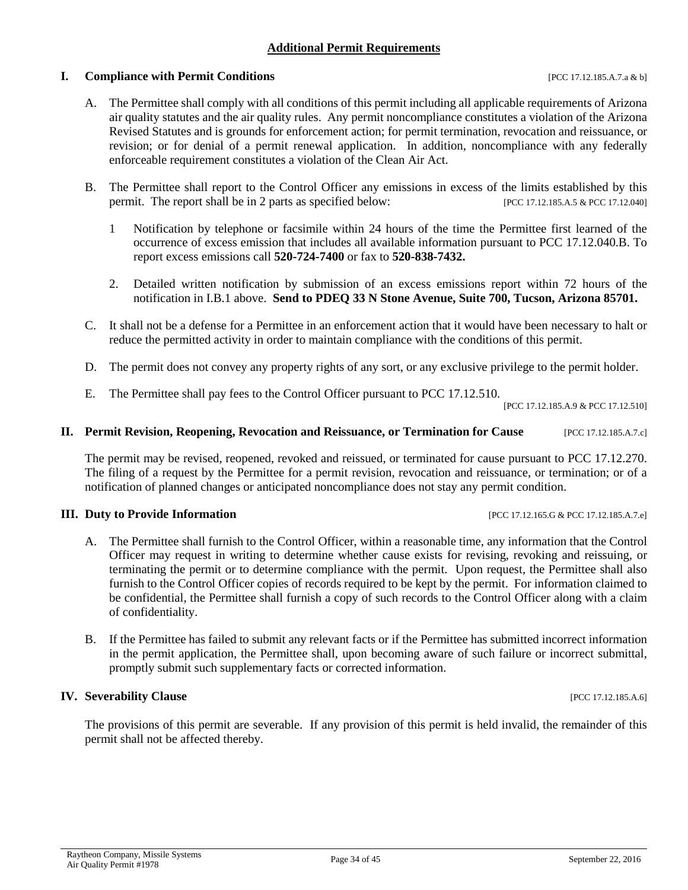#### **Additional Permit Requirements**

#### <span id="page-33-0"></span>**I. Compliance with Permit Conditions Example 2012 12:185.A.7.a & b]**

A. The Permittee shall comply with all conditions of this permit including all applicable requirements of Arizona air quality statutes and the air quality rules. Any permit noncompliance constitutes a violation of the Arizona Revised Statutes and is grounds for enforcement action; for permit termination, revocation and reissuance, or revision; or for denial of a permit renewal application. In addition, noncompliance with any federally enforceable requirement constitutes a violation of the Clean Air Act.

- B. The Permittee shall report to the Control Officer any emissions in excess of the limits established by this permit. The report shall be in 2 parts as specified below: [PCC 17.12.185.A.5 & PCC 17.12.040]
	- 1 Notification by telephone or facsimile within 24 hours of the time the Permittee first learned of the occurrence of excess emission that includes all available information pursuant to PCC 17.12.040.B. To report excess emissions call **520-724-7400** or fax to **520-838-7432.**
	- 2. Detailed written notification by submission of an excess emissions report within 72 hours of the notification in I.B.1 above. **Send to PDEQ 33 N Stone Avenue, Suite 700, Tucson, Arizona 85701.**
- C. It shall not be a defense for a Permittee in an enforcement action that it would have been necessary to halt or reduce the permitted activity in order to maintain compliance with the conditions of this permit.
- D. The permit does not convey any property rights of any sort, or any exclusive privilege to the permit holder.
- E. The Permittee shall pay fees to the Control Officer pursuant to PCC 17.12.510.

[PCC 17.12.185.A.9 & PCC 17.12.510]

#### **II. Permit Revision, Reopening, Revocation and Reissuance, or Termination for Cause** [PCC 17.12.185.A.7.c]

The permit may be revised, reopened, revoked and reissued, or terminated for cause pursuant to PCC 17.12.270. The filing of a request by the Permittee for a permit revision, revocation and reissuance, or termination; or of a notification of planned changes or anticipated noncompliance does not stay any permit condition.

#### **III. Duty to Provide Information** [PCC 17.12.165.G & PCC 17.12.185.A.7.e]

- A. The Permittee shall furnish to the Control Officer, within a reasonable time, any information that the Control Officer may request in writing to determine whether cause exists for revising, revoking and reissuing, or terminating the permit or to determine compliance with the permit. Upon request, the Permittee shall also furnish to the Control Officer copies of records required to be kept by the permit. For information claimed to be confidential, the Permittee shall furnish a copy of such records to the Control Officer along with a claim of confidentiality.
- B. If the Permittee has failed to submit any relevant facts or if the Permittee has submitted incorrect information in the permit application, the Permittee shall, upon becoming aware of such failure or incorrect submittal, promptly submit such supplementary facts or corrected information.

#### **IV. Severability Clause** [PCC 17.12.185.A.6]

The provisions of this permit are severable. If any provision of this permit is held invalid, the remainder of this permit shall not be affected thereby.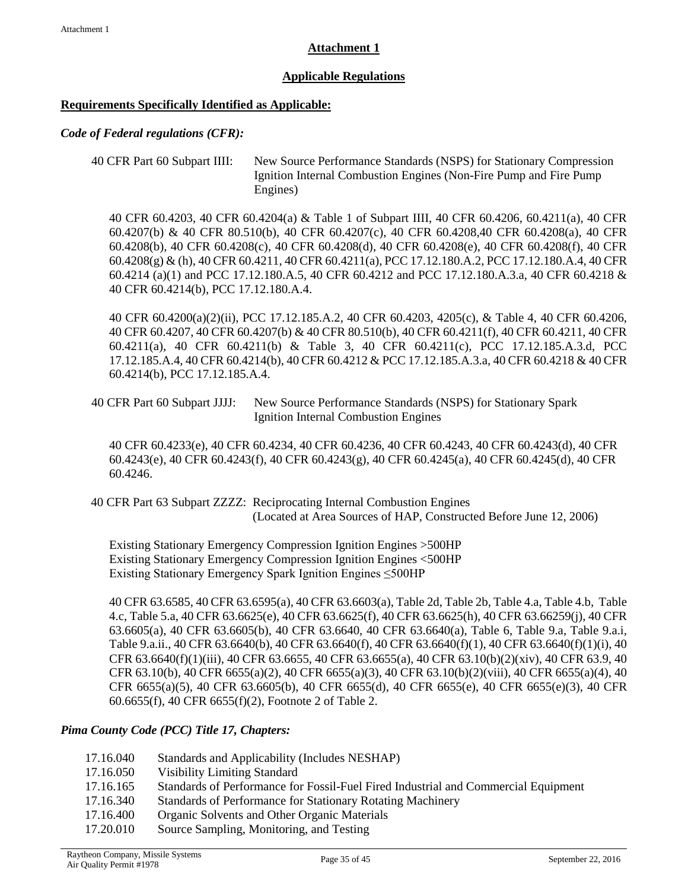#### **Attachment 1**

#### **Applicable Regulations**

#### <span id="page-34-0"></span>**Requirements Specifically Identified as Applicable:**

#### *Code of Federal regulations (CFR):*

```
40 CFR Part 60 Subpart IIII: New Source Performance Standards (NSPS) for Stationary Compression 
                  Ignition Internal Combustion Engines (Non-Fire Pump and Fire Pump 
                  Engines)
```
40 CFR 60.4203, 40 CFR 60.4204(a) & Table 1 of Subpart IIII, 40 CFR 60.4206, 60.4211(a), 40 CFR 60.4207(b) & 40 CFR 80.510(b), 40 CFR 60.4207(c), 40 CFR 60.4208,40 CFR 60.4208(a), 40 CFR 60.4208(b), 40 CFR 60.4208(c), 40 CFR 60.4208(d), 40 CFR 60.4208(e), 40 CFR 60.4208(f), 40 CFR 60.4208(g) & (h), 40 CFR 60.4211, 40 CFR 60.4211(a), PCC 17.12.180.A.2, PCC 17.12.180.A.4, 40 CFR 60.4214 (a)(1) and PCC 17.12.180.A.5, 40 CFR 60.4212 and PCC 17.12.180.A.3.a, 40 CFR 60.4218 & 40 CFR 60.4214(b), PCC 17.12.180.A.4.

40 CFR 60.4200(a)(2)(ii), PCC 17.12.185.A.2, 40 CFR 60.4203, 4205(c), & Table 4, 40 CFR 60.4206, 40 CFR 60.4207, 40 CFR 60.4207(b) & 40 CFR 80.510(b), 40 CFR 60.4211(f), 40 CFR 60.4211, 40 CFR 60.4211(a), 40 CFR 60.4211(b) & Table 3, 40 CFR 60.4211(c), PCC 17.12.185.A.3.d, PCC 17.12.185.A.4, 40 CFR 60.4214(b), 40 CFR 60.4212 & PCC 17.12.185.A.3.a, 40 CFR 60.4218 & 40 CFR 60.4214(b), PCC 17.12.185.A.4.

40 CFR Part 60 Subpart JJJJ: New Source Performance Standards (NSPS) for Stationary Spark Ignition Internal Combustion Engines

40 CFR 60.4233(e), 40 CFR 60.4234, 40 CFR 60.4236, 40 CFR 60.4243, 40 CFR 60.4243(d), 40 CFR 60.4243(e), 40 CFR 60.4243(f), 40 CFR 60.4243(g), 40 CFR 60.4245(a), 40 CFR 60.4245(d), 40 CFR 60.4246.

40 CFR Part 63 Subpart ZZZZ: Reciprocating Internal Combustion Engines (Located at Area Sources of HAP, Constructed Before June 12, 2006)

Existing Stationary Emergency Compression Ignition Engines >500HP Existing Stationary Emergency Compression Ignition Engines <500HP Existing Stationary Emergency Spark Ignition Engines ≤500HP

40 CFR 63.6585, 40 CFR 63.6595(a), 40 CFR 63.6603(a), Table 2d, Table 2b, Table 4.a, Table 4.b, Table 4.c, Table 5.a, 40 CFR 63.6625(e), 40 CFR 63.6625(f), 40 CFR 63.6625(h), 40 CFR 63.66259(j), 40 CFR 63.6605(a), 40 CFR 63.6605(b), 40 CFR 63.6640, 40 CFR 63.6640(a), Table 6, Table 9.a, Table 9.a.i, Table 9.a.ii., 40 CFR 63.6640(b), 40 CFR 63.6640(f), 40 CFR 63.6640(f)(1), 40 CFR 63.6640(f)(1)(i), 40 CFR 63.6640(f)(1)(iii), 40 CFR 63.6655, 40 CFR 63.6655(a), 40 CFR 63.10(b)(2)(xiv), 40 CFR 63.9, 40 CFR 63.10(b), 40 CFR 6655(a)(2), 40 CFR 6655(a)(3), 40 CFR 63.10(b)(2)(viii), 40 CFR 6655(a)(4), 40 CFR 6655(a)(5), 40 CFR 63.6605(b), 40 CFR 6655(d), 40 CFR 6655(e), 40 CFR 6655(e)(3), 40 CFR 60.6655(f), 40 CFR 6655(f)(2), Footnote 2 of Table 2.

#### *Pima County Code (PCC) Title 17, Chapters:*

- 17.16.040 Standards and Applicability (Includes NESHAP)
- 17.16.050 Visibility Limiting Standard
- 17.16.165 Standards of Performance for Fossil-Fuel Fired Industrial and Commercial Equipment
- 17.16.340 Standards of Performance for Stationary Rotating Machinery
- 17.16.400 Organic Solvents and Other Organic Materials
- 17.20.010 Source Sampling, Monitoring, and Testing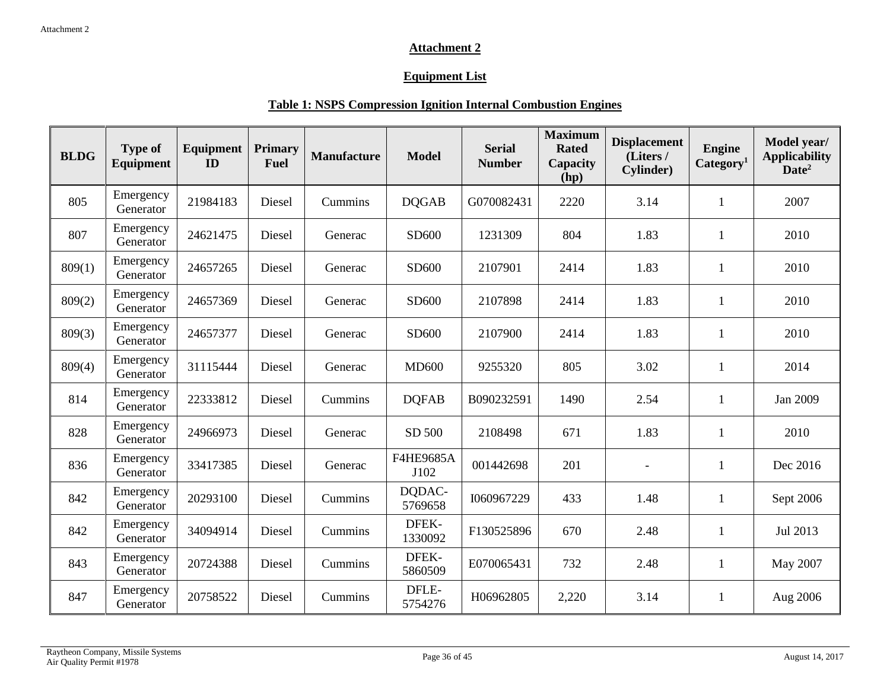#### **Attachment 2**

#### **Equipment List**

#### **Table 1: NSPS Compression Ignition Internal Combustion Engines**

<span id="page-35-0"></span>

| <b>BLDG</b> | <b>Type of</b><br><b>Equipment</b> | Equipment<br>ID | <b>Primary</b><br><b>Fuel</b> | <b>Manufacture</b> | <b>Model</b>      | <b>Serial</b><br><b>Number</b> | <b>Maximum</b><br><b>Rated</b><br>Capacity<br>(hp) | <b>Displacement</b><br>(Liters/<br><b>Cylinder</b> ) | <b>Engine</b><br>Category <sup>1</sup> | Model year/<br><b>Applicability</b><br>Date <sup>2</sup> |
|-------------|------------------------------------|-----------------|-------------------------------|--------------------|-------------------|--------------------------------|----------------------------------------------------|------------------------------------------------------|----------------------------------------|----------------------------------------------------------|
| 805         | Emergency<br>Generator             | 21984183        | Diesel                        | Cummins            | <b>DQGAB</b>      | G070082431                     | 2220                                               | 3.14                                                 | 1                                      | 2007                                                     |
| 807         | Emergency<br>Generator             | 24621475        | Diesel                        | Generac            | SD600             | 1231309                        | 804                                                | 1.83                                                 | 1                                      | 2010                                                     |
| 809(1)      | Emergency<br>Generator             | 24657265        | Diesel                        | Generac            | SD600             | 2107901                        | 2414                                               | 1.83                                                 | $\mathbf{1}$                           | 2010                                                     |
| 809(2)      | Emergency<br>Generator             | 24657369        | Diesel                        | Generac            | SD600             | 2107898                        | 2414                                               | 1.83                                                 | $\mathbf{1}$                           | 2010                                                     |
| 809(3)      | Emergency<br>Generator             | 24657377        | Diesel                        | Generac            | SD600             | 2107900                        | 2414                                               | 1.83                                                 | $\mathbf{1}$                           | 2010                                                     |
| 809(4)      | Emergency<br>Generator             | 31115444        | Diesel                        | Generac            | <b>MD600</b>      | 9255320                        | 805                                                | 3.02                                                 | $\mathbf{1}$                           | 2014                                                     |
| 814         | Emergency<br>Generator             | 22333812        | Diesel                        | Cummins            | <b>DOFAB</b>      | B090232591                     | 1490                                               | 2.54                                                 | 1                                      | Jan 2009                                                 |
| 828         | Emergency<br>Generator             | 24966973        | Diesel                        | Generac            | SD 500            | 2108498                        | 671                                                | 1.83                                                 | $\mathbf{1}$                           | 2010                                                     |
| 836         | Emergency<br>Generator             | 33417385        | Diesel                        | Generac            | F4HE9685A<br>J102 | 001442698                      | 201                                                |                                                      | 1                                      | Dec 2016                                                 |
| 842         | Emergency<br>Generator             | 20293100        | Diesel                        | Cummins            | DQDAC-<br>5769658 | I060967229                     | 433                                                | 1.48                                                 | 1                                      | Sept 2006                                                |
| 842         | Emergency<br>Generator             | 34094914        | Diesel                        | Cummins            | DFEK-<br>1330092  | F130525896                     | 670                                                | 2.48                                                 | $\mathbf{1}$                           | Jul 2013                                                 |
| 843         | Emergency<br>Generator             | 20724388        | Diesel                        | Cummins            | DFEK-<br>5860509  | E070065431                     | 732                                                | 2.48                                                 | 1                                      | May 2007                                                 |
| 847         | Emergency<br>Generator             | 20758522        | Diesel                        | Cummins            | DFLE-<br>5754276  | H06962805                      | 2,220                                              | 3.14                                                 | 1                                      | Aug 2006                                                 |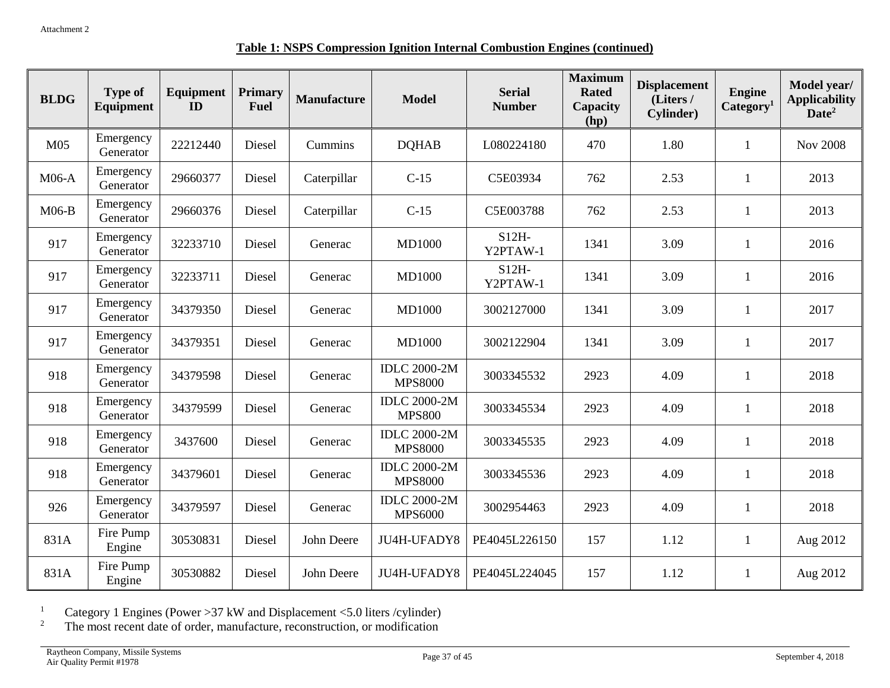#### **Table 1: NSPS Compression Ignition Internal Combustion Engines (continued)**

| <b>BLDG</b>     | <b>Type of</b><br>Equipment | Equipment<br>ID | <b>Primary</b><br><b>Fuel</b> | <b>Manufacture</b> | <b>Model</b>                          | <b>Serial</b><br><b>Number</b> | <b>Maximum</b><br><b>Rated</b><br>Capacity<br>(hp) | <b>Displacement</b><br>(Liters /<br><b>Cylinder</b> ) | <b>Engine</b><br>Category <sup>1</sup> | Model year/<br><b>Applicability</b><br>Date <sup>2</sup> |
|-----------------|-----------------------------|-----------------|-------------------------------|--------------------|---------------------------------------|--------------------------------|----------------------------------------------------|-------------------------------------------------------|----------------------------------------|----------------------------------------------------------|
| M <sub>05</sub> | Emergency<br>Generator      | 22212440        | Diesel                        | Cummins            | <b>DQHAB</b>                          | L080224180                     | 470                                                | 1.80                                                  | $\mathbf{1}$                           | <b>Nov 2008</b>                                          |
| $M06-A$         | Emergency<br>Generator      | 29660377        | Diesel                        | Caterpillar        | $C-15$                                | C5E03934                       | 762                                                | 2.53                                                  | 1                                      | 2013                                                     |
| $M06-B$         | Emergency<br>Generator      | 29660376        | Diesel                        | Caterpillar        | $C-15$                                | C5E003788                      | 762                                                | 2.53                                                  | $\mathbf{1}$                           | 2013                                                     |
| 917             | Emergency<br>Generator      | 32233710        | Diesel                        | Generac            | <b>MD1000</b>                         | $S12H-$<br>Y2PTAW-1            | 1341                                               | 3.09                                                  | $\mathbf{1}$                           | 2016                                                     |
| 917             | Emergency<br>Generator      | 32233711        | Diesel                        | Generac            | <b>MD1000</b>                         | $S12H-$<br>Y2PTAW-1            | 1341                                               | 3.09                                                  | $\mathbf{1}$                           | 2016                                                     |
| 917             | Emergency<br>Generator      | 34379350        | Diesel                        | Generac            | <b>MD1000</b>                         | 3002127000                     | 1341                                               | 3.09                                                  | $\mathbf{1}$                           | 2017                                                     |
| 917             | Emergency<br>Generator      | 34379351        | Diesel                        | Generac            | <b>MD1000</b>                         | 3002122904                     | 1341                                               | 3.09                                                  | $\mathbf{1}$                           | 2017                                                     |
| 918             | Emergency<br>Generator      | 34379598        | Diesel                        | Generac            | <b>IDLC 2000-2M</b><br><b>MPS8000</b> | 3003345532                     | 2923                                               | 4.09                                                  | $\mathbf{1}$                           | 2018                                                     |
| 918             | Emergency<br>Generator      | 34379599        | Diesel                        | Generac            | <b>IDLC 2000-2M</b><br><b>MPS800</b>  | 3003345534                     | 2923                                               | 4.09                                                  | $\mathbf{1}$                           | 2018                                                     |
| 918             | Emergency<br>Generator      | 3437600         | Diesel                        | Generac            | <b>IDLC 2000-2M</b><br><b>MPS8000</b> | 3003345535                     | 2923                                               | 4.09                                                  | 1                                      | 2018                                                     |
| 918             | Emergency<br>Generator      | 34379601        | Diesel                        | Generac            | <b>IDLC 2000-2M</b><br><b>MPS8000</b> | 3003345536                     | 2923                                               | 4.09                                                  | $\mathbf{1}$                           | 2018                                                     |
| 926             | Emergency<br>Generator      | 34379597        | Diesel                        | Generac            | <b>IDLC 2000-2M</b><br><b>MPS6000</b> | 3002954463                     | 2923                                               | 4.09                                                  | $\mathbf{1}$                           | 2018                                                     |
| 831A            | Fire Pump<br>Engine         | 30530831        | Diesel                        | John Deere         | JU4H-UFADY8                           | PE4045L226150                  | 157                                                | 1.12                                                  | $\mathbf{1}$                           | Aug 2012                                                 |
| 831A            | Fire Pump<br>Engine         | 30530882        | Diesel                        | John Deere         | JU4H-UFADY8                           | PE4045L224045                  | 157                                                | 1.12                                                  | -1                                     | Aug 2012                                                 |

<sup>1</sup> Category 1 Engines (Power > 37 kW and Displacement < 5.0 liters / cylinder)

 $2^2$  The most recent date of order, manufacture, reconstruction, or modification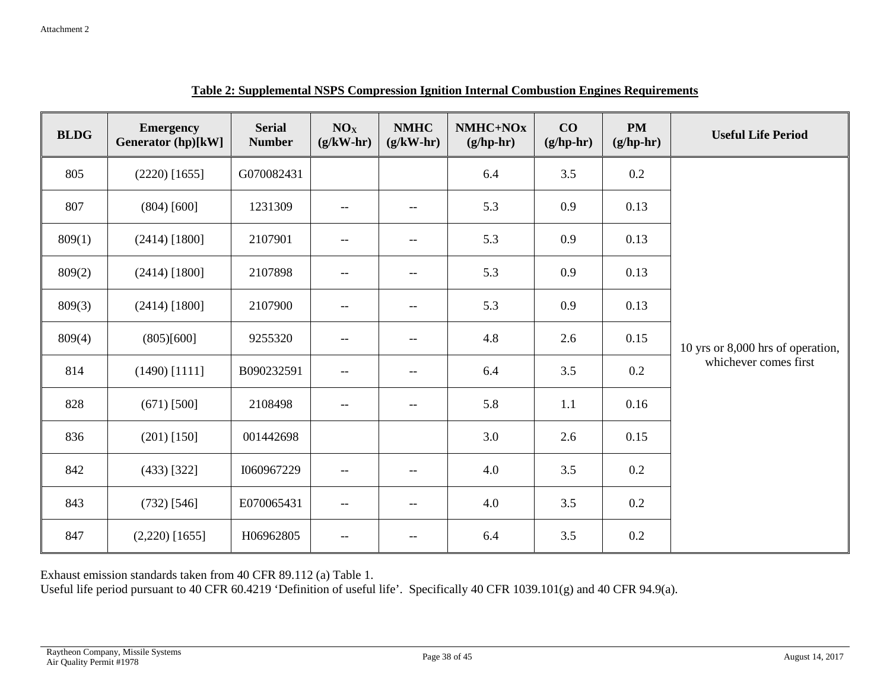| <b>BLDG</b> | <b>Emergency</b><br><b>Generator (hp)[kW]</b> | <b>Serial</b><br><b>Number</b> | NO <sub>X</sub><br>$(g/kW-hr)$        | <b>NMHC</b><br>$(g/kW-hr)$ | NMHC+NOx<br>$(g/hp-hr)$ | CO<br>$(g/hp-hr)$ | <b>PM</b><br>$(g/hp-hr)$ | <b>Useful Life Period</b>         |
|-------------|-----------------------------------------------|--------------------------------|---------------------------------------|----------------------------|-------------------------|-------------------|--------------------------|-----------------------------------|
| 805         | $(2220)$ [1655]                               | G070082431                     |                                       |                            | 6.4                     | 3.5               | $0.2\,$                  |                                   |
| 807         | (804) [600]                                   | 1231309                        | $\hspace{0.05cm}$ – $\hspace{0.05cm}$ | $- -$                      | 5.3                     | 0.9               | 0.13                     |                                   |
| 809(1)      | $(2414)$ [1800]                               | 2107901                        |                                       | $\overline{\phantom{m}}$   | 5.3                     | 0.9               | 0.13                     |                                   |
| 809(2)      | $(2414)$ [1800]                               | 2107898                        | $\hspace{0.05cm}$ – $\hspace{0.05cm}$ | $- -$                      | 5.3                     | 0.9               | 0.13                     |                                   |
| 809(3)      | $(2414)$ [1800]                               | 2107900                        |                                       | $\overline{\phantom{m}}$   | 5.3                     | 0.9               | 0.13                     |                                   |
| 809(4)      | (805)[600]                                    | 9255320                        | $\hspace{0.05cm}$ – $\hspace{0.05cm}$ | $\overline{\phantom{m}}$   | 4.8                     | 2.6               | 0.15                     | 10 yrs or 8,000 hrs of operation, |
| 814         | $(1490)$ [1111]                               | B090232591                     | $-$                                   | $-\,-$                     | 6.4                     | 3.5               | $0.2\,$                  | whichever comes first             |
| 828         | $(671)$ [500]                                 | 2108498                        | $-\,-$                                | $-\, -$                    | 5.8                     | 1.1               | 0.16                     |                                   |
| 836         | $(201)$ [150]                                 | 001442698                      |                                       |                            | 3.0                     | 2.6               | 0.15                     |                                   |
| 842         | $(433)$ [322]                                 | I060967229                     | $\overline{\phantom{m}}$              | $\overline{\phantom{m}}$   | 4.0                     | 3.5               | $0.2\,$                  |                                   |
| 843         | $(732)$ [546]                                 | E070065431                     | $\qquad \qquad -$                     | $\overline{\phantom{m}}$   | $4.0\,$                 | 3.5               | $0.2\,$                  |                                   |
| 847         | $(2,220)$ [1655]                              | H06962805                      | $\overline{\phantom{a}}$              | $-\,-$                     | 6.4                     | 3.5               | 0.2                      |                                   |

**Table 2: Supplemental NSPS Compression Ignition Internal Combustion Engines Requirements**

Exhaust emission standards taken from 40 CFR 89.112 (a) Table 1.

Useful life period pursuant to 40 CFR 60.4219 'Definition of useful life'. Specifically 40 CFR 1039.101(g) and 40 CFR 94.9(a).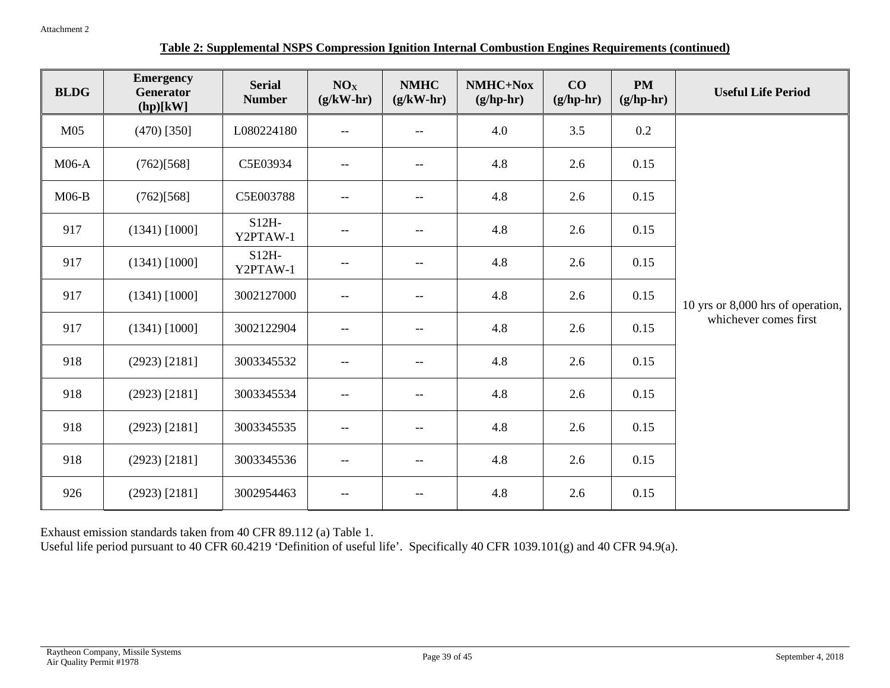#### **Table 2: Supplemental NSPS Compression Ignition Internal Combustion Engines Requirements (continued)**

| <b>BLDG</b>     | <b>Emergency</b><br><b>Generator</b><br>(hp)[kW] | <b>Serial</b><br><b>Number</b> | NO <sub>X</sub><br>$(g/kW-hr)$ | <b>NMHC</b><br>$(g/kW-hr)$ | NMHC+Nox<br>$(g/hp-hr)$ | CO<br>$(g/hp-hr)$ | <b>PM</b><br>$(g/hp-hr)$ | <b>Useful Life Period</b>         |
|-----------------|--------------------------------------------------|--------------------------------|--------------------------------|----------------------------|-------------------------|-------------------|--------------------------|-----------------------------------|
| M <sub>05</sub> | $(470)$ [350]                                    | L080224180                     | $--$                           | $-$                        | 4.0                     | 3.5               | 0.2                      |                                   |
| $M06-A$         | (762)[568]                                       | C5E03934                       | $- -$                          | $\overline{\phantom{m}}$   | 4.8                     | 2.6               | 0.15                     |                                   |
| $M06-B$         | (762)[568]                                       | C5E003788                      | $--$                           | $-$                        | 4.8                     | 2.6               | 0.15                     |                                   |
| 917             | $(1341)$ [1000]                                  | $S12H-$<br>Y2PTAW-1            | $- -$                          | $-\,-$                     | 4.8                     | 2.6               | 0.15                     |                                   |
| 917             | $(1341)$ [1000]                                  | $S12H-$<br>Y2PTAW-1            | $- -$                          | $-$                        | 4.8                     | 2.6               | 0.15                     |                                   |
| 917             | $(1341)$ [1000]                                  | 3002127000                     | $- -$                          | $\overline{\phantom{m}}$   | 4.8                     | 2.6               | 0.15                     | 10 yrs or 8,000 hrs of operation, |
| 917             | $(1341)$ [1000]                                  | 3002122904                     | $--$                           | $-$                        | 4.8                     | 2.6               | 0.15                     | whichever comes first             |
| 918             | $(2923)$ [2181]                                  | 3003345532                     | $- -$                          | $\overline{\phantom{m}}$   | 4.8                     | 2.6               | 0.15                     |                                   |
| 918             | $(2923)$ [2181]                                  | 3003345534                     | $- -$                          | $\overline{\phantom{m}}$   | 4.8                     | 2.6               | 0.15                     |                                   |
| 918             | $(2923)$ [2181]                                  | 3003345535                     | $- -$                          | $\overline{\phantom{m}}$   | 4.8                     | 2.6               | 0.15                     |                                   |
| 918             | $(2923)$ [2181]                                  | 3003345536                     | $--$                           | $-$                        | 4.8                     | 2.6               | 0.15                     |                                   |
| 926             | $(2923)$ [2181]                                  | 3002954463                     | $- -$                          | $- \, -$                   | 4.8                     | 2.6               | 0.15                     |                                   |

Exhaust emission standards taken from 40 CFR 89.112 (a) Table 1.

Useful life period pursuant to 40 CFR 60.4219 'Definition of useful life'. Specifically 40 CFR 1039.101(g) and 40 CFR 94.9(a).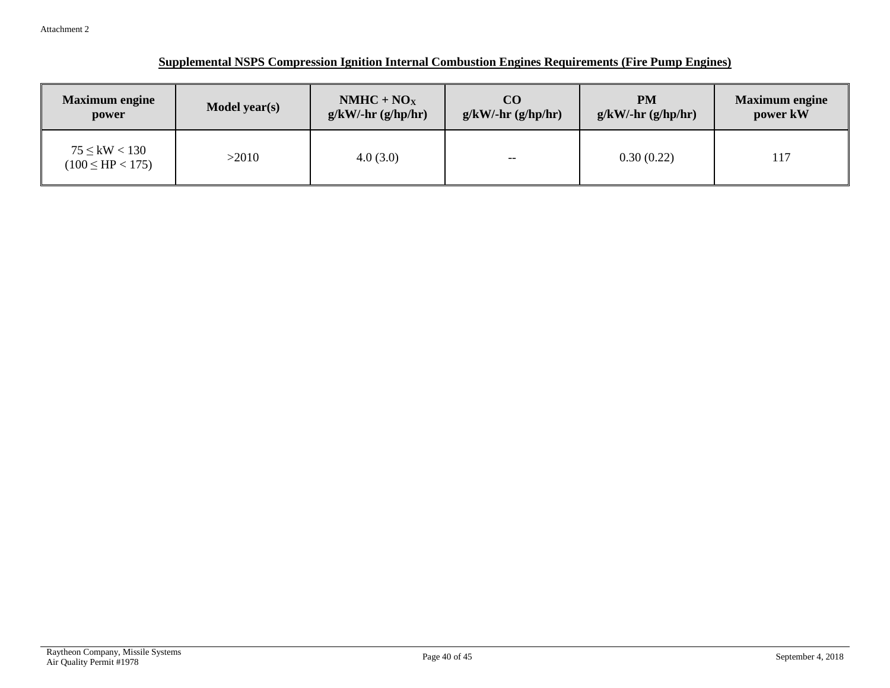| <b>Maximum engine</b>                        | Model year(s) | $NMHC + NOX$            |       | <b>PM</b>                   | <b>Maximum</b> engine |
|----------------------------------------------|---------------|-------------------------|-------|-----------------------------|-----------------------|
| power                                        |               | $g/kW$ /-hr $(g/hp/hr)$ |       | $g/kW/\text{-}hr$ (g/hp/hr) | power kW              |
| $75 \leq$ kW $< 130$<br>$(100 \le HP < 175)$ | >2010         | 4.0(3.0)                | $- -$ | 0.30(0.22)                  | 117                   |

#### **Supplemental NSPS Compression Ignition Internal Combustion Engines Requirements (Fire Pump Engines)**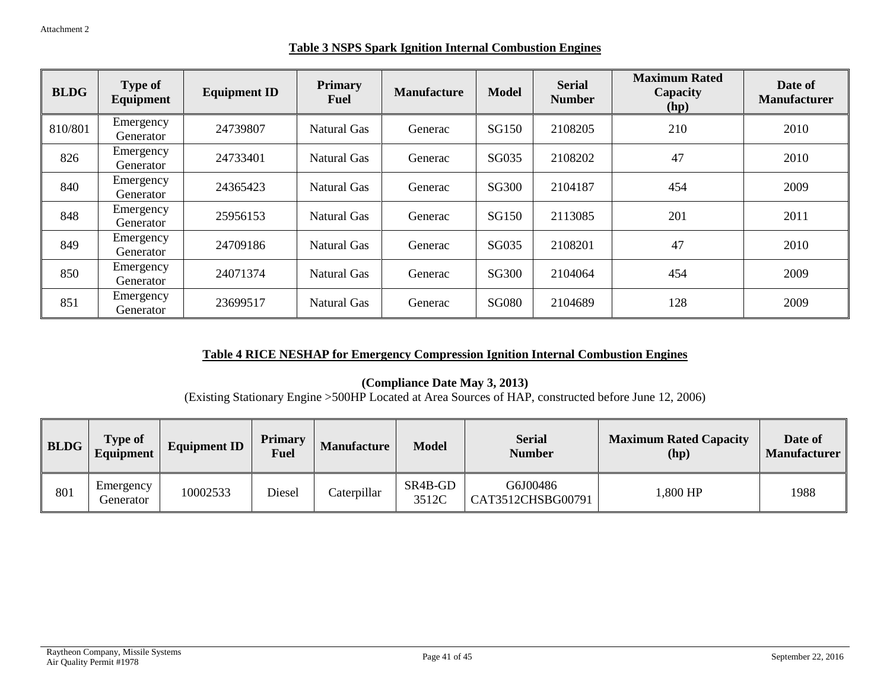|  |  |  | <b>Table 3 NSPS Spark Ignition Internal Combustion Engines</b> |  |
|--|--|--|----------------------------------------------------------------|--|
|  |  |  |                                                                |  |

| <b>BLDG</b> | <b>Type of</b><br>Equipment | <b>Equipment ID</b> | <b>Primary</b><br>Fuel | <b>Manufacture</b> | <b>Model</b> | <b>Serial</b><br><b>Number</b> | <b>Maximum Rated</b><br>Capacity<br>(hp) | Date of<br><b>Manufacturer</b> |
|-------------|-----------------------------|---------------------|------------------------|--------------------|--------------|--------------------------------|------------------------------------------|--------------------------------|
| 810/801     | Emergency<br>Generator      | 24739807            | Natural Gas            | Generac            | SG150        | 2108205                        | 210                                      | 2010                           |
| 826         | Emergency<br>Generator      | 24733401            | Natural Gas            | Generac            | SG035        | 2108202                        | 47                                       | 2010                           |
| 840         | Emergency<br>Generator      | 24365423            | Natural Gas            | Generac            | SG300        | 2104187                        | 454                                      | 2009                           |
| 848         | Emergency<br>Generator      | 25956153            | Natural Gas            | Generac            | SG150        | 2113085                        | 201                                      | 2011                           |
| 849         | Emergency<br>Generator      | 24709186            | Natural Gas            | Generac            | SG035        | 2108201                        | 47                                       | 2010                           |
| 850         | Emergency<br>Generator      | 24071374            | Natural Gas            | Generac            | SG300        | 2104064                        | 454                                      | 2009                           |
| 851         | Emergency<br>Generator      | 23699517            | Natural Gas            | Generac            | <b>SG080</b> | 2104689                        | 128                                      | 2009                           |

#### **Table 4 RICE NESHAP for Emergency Compression Ignition Internal Combustion Engines**

**(Compliance Date May 3, 2013)**

(Existing Stationary Engine >500HP Located at Area Sources of HAP, constructed before June 12, 2006)

| <b>BLDG</b> | Type of<br>Equipment   | <b>Equipment ID</b> | <b>Primary</b><br><b>Fuel</b> | <b>Manufacture</b> | <b>Model</b>                              | <b>Serial</b><br><b>Number</b> | <b>Maximum Rated Capacity</b><br>(hp) | Date of<br><b>Manufacturer</b> |
|-------------|------------------------|---------------------|-------------------------------|--------------------|-------------------------------------------|--------------------------------|---------------------------------------|--------------------------------|
| 801         | Emergency<br>Generator | 10002533            | Diesel                        | Caterpillar        | SR <sub>4</sub> B-G <sub>D</sub><br>3512C | G6J00486<br>CAT3512CHSBG00791  | 1,800 HP                              | 1988                           |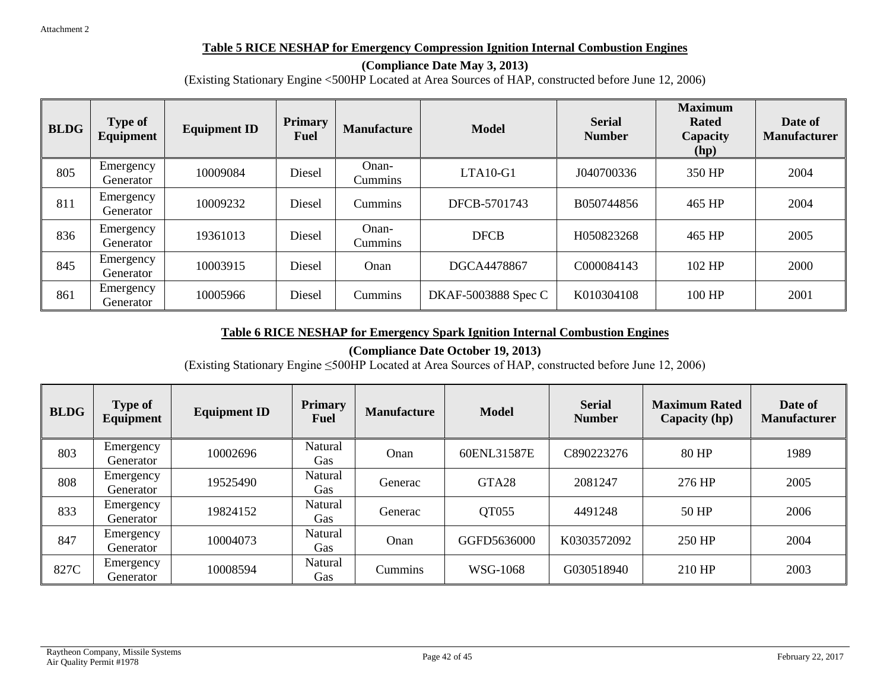#### **Table 5 RICE NESHAP for Emergency Compression Ignition Internal Combustion Engines**

#### **(Compliance Date May 3, 2013)**

(Existing Stationary Engine <500HP Located at Area Sources of HAP, constructed before June 12, 2006)

| <b>BLDG</b> | <b>Type of</b><br>Equipment | <b>Equipment ID</b> | <b>Primary</b><br><b>Fuel</b> | <b>Manufacture</b>      | <b>Model</b>        | <b>Serial</b><br><b>Number</b> | <b>Maximum</b><br><b>Rated</b><br>Capacity<br>(hp) | Date of<br><b>Manufacturer</b> |
|-------------|-----------------------------|---------------------|-------------------------------|-------------------------|---------------------|--------------------------------|----------------------------------------------------|--------------------------------|
| 805         | Emergency<br>Generator      | 10009084            | Diesel                        | Onan-<br><b>Cummins</b> | $LTA10-G1$          | J040700336                     | 350 HP                                             | 2004                           |
| 811         | Emergency<br>Generator      | 10009232            | Diesel                        | Cummins                 | DFCB-5701743        | B050744856                     | 465 HP                                             | 2004                           |
| 836         | Emergency<br>Generator      | 19361013            | Diesel                        | Onan-<br><b>Cummins</b> | <b>DFCB</b>         | H050823268                     | 465 HP                                             | 2005                           |
| 845         | Emergency<br>Generator      | 10003915            | Diesel                        | Onan                    | DGCA4478867         | C000084143                     | 102 HP                                             | 2000                           |
| 861         | Emergency<br>Generator      | 10005966            | Diesel                        | Cummins                 | DKAF-5003888 Spec C | K010304108                     | 100 HP                                             | 2001                           |

#### **Table 6 RICE NESHAP for Emergency Spark Ignition Internal Combustion Engines**

**(Compliance Date October 19, 2013)**

(Existing Stationary Engine ≤500HP Located at Area Sources of HAP, constructed before June 12, 2006)

| <b>BLDG</b> | <b>Type of</b><br>Equipment | <b>Equipment ID</b> | <b>Primary</b><br><b>Fuel</b> | <b>Manufacture</b> | <b>Model</b>      | <b>Serial</b><br><b>Number</b> | <b>Maximum Rated</b><br>Capacity (hp) | Date of<br><b>Manufacturer</b> |
|-------------|-----------------------------|---------------------|-------------------------------|--------------------|-------------------|--------------------------------|---------------------------------------|--------------------------------|
| 803         | Emergency<br>Generator      | 10002696            | Natural<br>Gas                | Onan               | 60ENL31587E       | C890223276                     | 80 HP                                 | 1989                           |
| 808         | Emergency<br>Generator      | 19525490            | Natural<br>Gas                | Generac            | GTA <sub>28</sub> | 2081247                        | 276 HP                                | 2005                           |
| 833         | Emergency<br>Generator      | 19824152            | Natural<br><b>Gas</b>         | Generac            | QT055             | 4491248                        | 50 HP                                 | 2006                           |
| 847         | Emergency<br>Generator      | 10004073            | Natural<br>Gas                | Onan               | GGFD5636000       | K0303572092                    | 250 HP                                | 2004                           |
| 827C        | Emergency<br>Generator      | 10008594            | Natural<br><b>Gas</b>         | <b>Cummins</b>     | WSG-1068          | G030518940                     | 210 HP                                | 2003                           |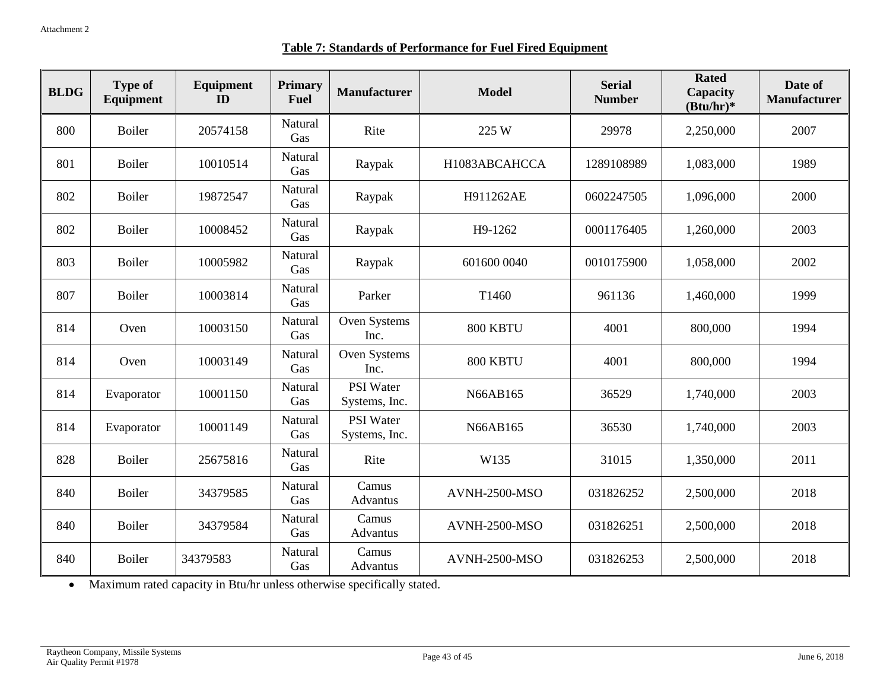|  | <b>Table 7: Standards of Performance for Fuel Fired Equipment</b> |
|--|-------------------------------------------------------------------|
|  |                                                                   |

| <b>BLDG</b> | <b>Type of</b><br>Equipment | Equipment<br>ID | <b>Primary</b><br><b>Fuel</b> | <b>Manufacturer</b>               | <b>Model</b>         | <b>Serial</b><br><b>Number</b> | <b>Rated</b><br><b>Capacity</b><br>$(Btu/hr)*$ | Date of<br><b>Manufacturer</b> |
|-------------|-----------------------------|-----------------|-------------------------------|-----------------------------------|----------------------|--------------------------------|------------------------------------------------|--------------------------------|
| 800         | <b>Boiler</b>               | 20574158        | Natural<br>Gas                | Rite                              | 225 W                | 29978                          | 2,250,000                                      | 2007                           |
| 801         | <b>Boiler</b>               | 10010514        | Natural<br>Gas                | Raypak                            | H1083ABCAHCCA        | 1289108989                     | 1,083,000                                      | 1989                           |
| 802         | Boiler                      | 19872547        | Natural<br>Gas                | Raypak                            | H911262AE            | 0602247505                     | 1,096,000                                      | 2000                           |
| 802         | <b>Boiler</b>               | 10008452        | Natural<br>Gas                | Raypak                            | H9-1262              | 0001176405                     | 1,260,000                                      | 2003                           |
| 803         | Boiler                      | 10005982        | Natural<br>Gas                | Raypak                            | 601600 0040          | 0010175900                     | 1,058,000                                      | 2002                           |
| 807         | <b>Boiler</b>               | 10003814        | Natural<br>Gas                | Parker                            | T1460                | 961136                         | 1,460,000                                      | 1999                           |
| 814         | Oven                        | 10003150        | Natural<br>Gas                | Oven Systems<br>Inc.              | 800 KBTU             | 4001                           | 800,000                                        | 1994                           |
| 814         | Oven                        | 10003149        | Natural<br>Gas                | Oven Systems<br>Inc.              | 800 KBTU             | 4001                           | 800,000                                        | 1994                           |
| 814         | Evaporator                  | 10001150        | Natural<br>Gas                | <b>PSI Water</b><br>Systems, Inc. | N66AB165             | 36529                          | 1,740,000                                      | 2003                           |
| 814         | Evaporator                  | 10001149        | Natural<br>Gas                | <b>PSI Water</b><br>Systems, Inc. | N66AB165             | 36530                          | 1,740,000                                      | 2003                           |
| 828         | Boiler                      | 25675816        | Natural<br>Gas                | Rite                              | W135                 | 31015                          | 1,350,000                                      | 2011                           |
| 840         | Boiler                      | 34379585        | Natural<br>Gas                | Camus<br>Advantus                 | AVNH-2500-MSO        | 031826252                      | 2,500,000                                      | 2018                           |
| 840         | <b>Boiler</b>               | 34379584        | Natural<br>Gas                | Camus<br>Advantus                 | AVNH-2500-MSO        | 031826251                      | 2,500,000                                      | 2018                           |
| 840         | Boiler                      | 34379583        | Natural<br>Gas                | Camus<br>Advantus                 | <b>AVNH-2500-MSO</b> | 031826253                      | 2,500,000                                      | 2018                           |

• Maximum rated capacity in Btu/hr unless otherwise specifically stated.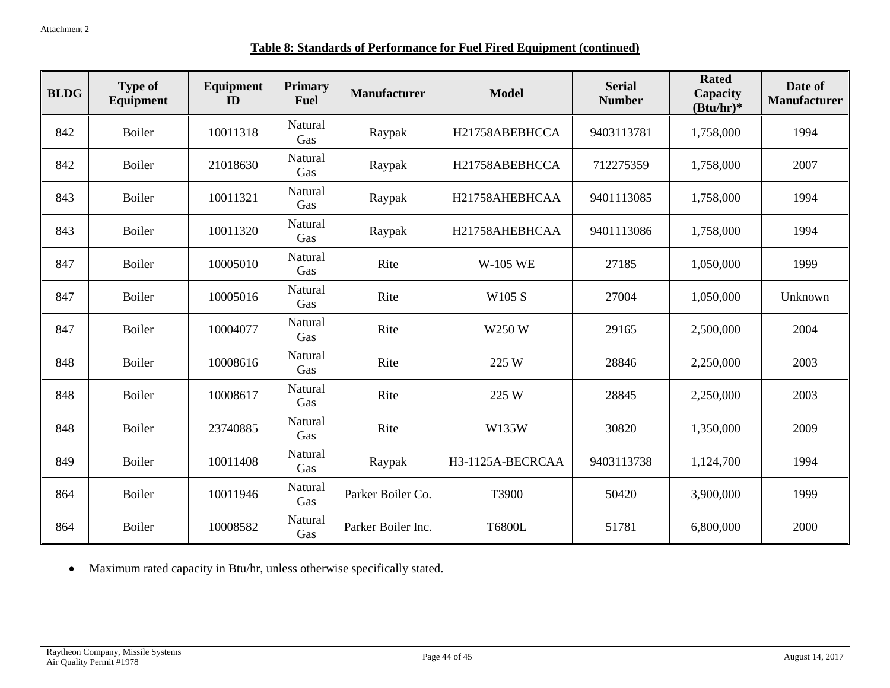|--|

| <b>BLDG</b> | <b>Type of</b><br><b>Equipment</b> | Equipment<br>ID | <b>Primary</b><br>Fuel | <b>Manufacturer</b> | <b>Model</b>     | <b>Serial</b><br><b>Number</b> | <b>Rated</b><br>Capacity<br>$(Btu/hr)*$ | Date of<br><b>Manufacturer</b> |
|-------------|------------------------------------|-----------------|------------------------|---------------------|------------------|--------------------------------|-----------------------------------------|--------------------------------|
| 842         | <b>Boiler</b>                      | 10011318        | Natural<br>Gas         | Raypak              | H21758ABEBHCCA   | 9403113781                     | 1,758,000                               | 1994                           |
| 842         | <b>Boiler</b>                      | 21018630        | Natural<br>Gas         | Raypak              | H21758ABEBHCCA   | 712275359                      | 1,758,000                               | 2007                           |
| 843         | Boiler                             | 10011321        | Natural<br>Gas         | Raypak              | H21758AHEBHCAA   | 9401113085                     | 1,758,000                               | 1994                           |
| 843         | <b>Boiler</b>                      | 10011320        | Natural<br>Gas         | Raypak              | H21758AHEBHCAA   | 9401113086                     | 1,758,000                               | 1994                           |
| 847         | Boiler                             | 10005010        | Natural<br>Gas         | Rite                | <b>W-105 WE</b>  | 27185                          | 1,050,000                               | 1999                           |
| 847         | <b>Boiler</b>                      | 10005016        | Natural<br>Gas         | Rite                | W105 S           | 27004                          | 1,050,000                               | Unknown                        |
| 847         | <b>Boiler</b>                      | 10004077        | Natural<br>Gas         | Rite                | W250 W           | 29165                          | 2,500,000                               | 2004                           |
| 848         | <b>Boiler</b>                      | 10008616        | Natural<br>Gas         | Rite                | 225 W            | 28846                          | 2,250,000                               | 2003                           |
| 848         | Boiler                             | 10008617        | Natural<br>Gas         | Rite                | 225 W            | 28845                          | 2,250,000                               | 2003                           |
| 848         | Boiler                             | 23740885        | Natural<br>Gas         | Rite                | W135W            | 30820                          | 1,350,000                               | 2009                           |
| 849         | Boiler                             | 10011408        | Natural<br>Gas         | Raypak              | H3-1125A-BECRCAA | 9403113738                     | 1,124,700                               | 1994                           |
| 864         | Boiler                             | 10011946        | Natural<br>Gas         | Parker Boiler Co.   | T3900            | 50420                          | 3,900,000                               | 1999                           |
| 864         | Boiler                             | 10008582        | Natural<br>Gas         | Parker Boiler Inc.  | <b>T6800L</b>    | 51781                          | 6,800,000                               | 2000                           |

• Maximum rated capacity in Btu/hr, unless otherwise specifically stated.